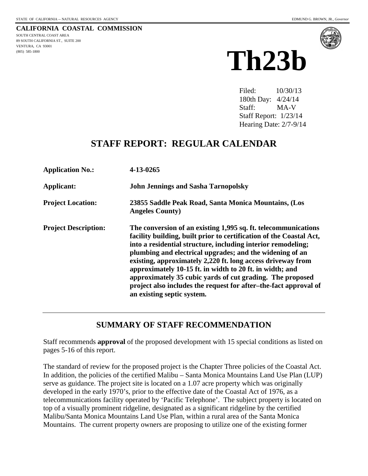**CALIFORNIA COASTAL COMMISSION** SOUTH CENTRAL COAST AREA 89 SOUTH CALIFORNIA ST., SUITE 200 VENTURA, CA 93001 (805) 585-1800



Filed: 10/30/13 180th Day: 4/24/14 Staff: MA-V Staff Report: 1/23/14 Hearing Date: 2/7-9/14

# **STAFF REPORT: REGULAR CALENDAR**

| <b>Application No.:</b>     | 4-13-0265                                                                                                                                                                                                                                                                                                                                                                                                                                                                                                                                                   |
|-----------------------------|-------------------------------------------------------------------------------------------------------------------------------------------------------------------------------------------------------------------------------------------------------------------------------------------------------------------------------------------------------------------------------------------------------------------------------------------------------------------------------------------------------------------------------------------------------------|
| Applicant:                  | <b>John Jennings and Sasha Tarnopolsky</b>                                                                                                                                                                                                                                                                                                                                                                                                                                                                                                                  |
| <b>Project Location:</b>    | 23855 Saddle Peak Road, Santa Monica Mountains, (Los<br><b>Angeles County)</b>                                                                                                                                                                                                                                                                                                                                                                                                                                                                              |
| <b>Project Description:</b> | The conversion of an existing 1,995 sq. ft. telecommunications<br>facility building, built prior to certification of the Coastal Act,<br>into a residential structure, including interior remodeling;<br>plumbing and electrical upgrades; and the widening of an<br>existing, approximately 2,220 ft. long access driveway from<br>approximately 10-15 ft. in width to 20 ft. in width; and<br>approximately 35 cubic yards of cut grading. The proposed<br>project also includes the request for after-the-fact approval of<br>an existing septic system. |

# **SUMMARY OF STAFF RECOMMENDATION**

Staff recommends **approval** of the proposed development with 15 special conditions as listed on pages 5-16 of this report.

The standard of review for the proposed project is the Chapter Three policies of the Coastal Act. In addition, the policies of the certified Malibu – Santa Monica Mountains Land Use Plan (LUP) serve as guidance. The project site is located on a 1.07 acre property which was originally developed in the early 1970's, prior to the effective date of the Coastal Act of 1976, as a telecommunications facility operated by 'Pacific Telephone'. The subject property is located on top of a visually prominent ridgeline, designated as a significant ridgeline by the certified Malibu/Santa Monica Mountains Land Use Plan, within a rural area of the Santa Monica Mountains. The current property owners are proposing to utilize one of the existing former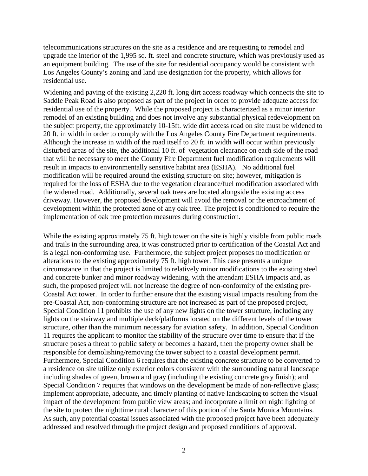telecommunications structures on the site as a residence and are requesting to remodel and upgrade the interior of the 1,995 sq. ft. steel and concrete structure, which was previously used as an equipment building. The use of the site for residential occupancy would be consistent with Los Angeles County's zoning and land use designation for the property, which allows for residential use.

Widening and paving of the existing 2,220 ft. long dirt access roadway which connects the site to Saddle Peak Road is also proposed as part of the project in order to provide adequate access for residential use of the property. While the proposed project is characterized as a minor interior remodel of an existing building and does not involve any substantial physical redevelopment on the subject property, the approximately 10-15ft. wide dirt access road on site must be widened to 20 ft. in width in order to comply with the Los Angeles County Fire Department requirements. Although the increase in width of the road itself to 20 ft. in width will occur within previously disturbed areas of the site, the additional 10 ft. of vegetation clearance on each side of the road that will be necessary to meet the County Fire Department fuel modification requirements will result in impacts to environmentally sensitive habitat area (ESHA). No additional fuel modification will be required around the existing structure on site; however, mitigation is required for the loss of ESHA due to the vegetation clearance/fuel modification associated with the widened road. Additionally, several oak trees are located alongside the existing access driveway. However, the proposed development will avoid the removal or the encroachment of development within the protected zone of any oak tree. The project is conditioned to require the implementation of oak tree protection measures during construction.

While the existing approximately 75 ft. high tower on the site is highly visible from public roads and trails in the surrounding area, it was constructed prior to certification of the Coastal Act and is a legal non-conforming use. Furthermore, the subject project proposes no modification or alterations to the existing approximately 75 ft. high tower. This case presents a unique circumstance in that the project is limited to relatively minor modifications to the existing steel and concrete bunker and minor roadway widening, with the attendant ESHA impacts and, as such, the proposed project will not increase the degree of non-conformity of the existing pre-Coastal Act tower. In order to further ensure that the existing visual impacts resulting from the pre-Coastal Act, non-conforming structure are not increased as part of the proposed project, Special Condition 11 prohibits the use of any new lights on the tower structure, including any lights on the stairway and multiple deck/platforms located on the different levels of the tower structure, other than the minimum necessary for aviation safety. In addition, Special Condition 11 requires the applicant to monitor the stability of the structure over time to ensure that if the structure poses a threat to public safety or becomes a hazard, then the property owner shall be responsible for demolishing/removing the tower subject to a coastal development permit. Furthermore, Special Condition 6 requires that the existing concrete structure to be converted to a residence on site utilize only exterior colors consistent with the surrounding natural landscape including shades of green, brown and gray (including the existing concrete gray finish); and Special Condition 7 requires that windows on the development be made of non-reflective glass; implement appropriate, adequate, and timely planting of native landscaping to soften the visual impact of the development from public view areas; and incorporate a limit on night lighting of the site to protect the nighttime rural character of this portion of the Santa Monica Mountains. As such, any potential coastal issues associated with the proposed project have been adequately addressed and resolved through the project design and proposed conditions of approval.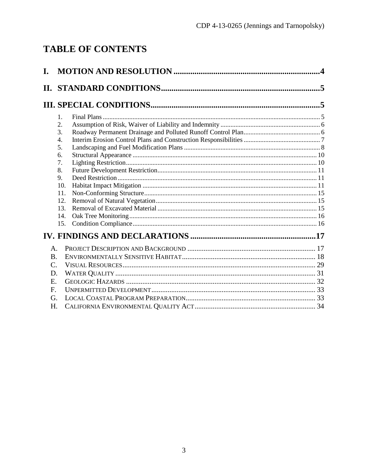# **TABLE OF CONTENTS**

| I. |           | $\mathbf{.4}$ |
|----|-----------|---------------|
|    |           |               |
|    |           |               |
|    | 1.        |               |
|    | 2.        |               |
|    | 3.        |               |
|    | 4.        |               |
|    | 5.        |               |
|    | 6.        |               |
|    | 7.        |               |
|    | 8.        |               |
|    | 9.<br>10. |               |
|    | 11.       |               |
|    | 12.       |               |
|    | 13.       |               |
|    | 14.       |               |
|    | 15.       |               |
|    |           |               |
| A. |           |               |
| B. |           |               |
| C. |           |               |
| D. |           |               |
| E. |           |               |
| F. |           |               |
| G. |           |               |
| H. |           |               |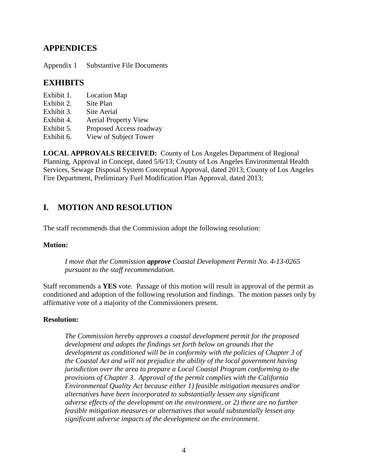# **APPENDICES**

Appendix 1 Substantive File Documents

# **EXHIBITS**

- Exhibit 1. Location Map
- Exhibit 2. Site Plan
- Exhibit 3. Site Aerial
- Exhibit 4. Aerial Property View
- Exhibit 5. Proposed Access roadway
- Exhibit 6. View of Subject Tower

**LOCAL APPROVALS RECEIVED:** County of Los Angeles Department of Regional Planning, Approval in Concept, dated 5/6/13; County of Los Angeles Environmental Health Services, Sewage Disposal System Conceptual Approval, dated 2013; County of Los Angeles Fire Department, Preliminary Fuel Modification Plan Approval, dated 2013;

# <span id="page-3-0"></span>**I. MOTION AND RESOLUTION**

The staff recommends that the Commission adopt the following resolution:

#### **Motion:**

*I move that the Commission approve Coastal Development Permit No. 4-13-0265 pursuant to the staff recommendation.*

Staff recommends a **YES** vote. Passage of this motion will result in approval of the permit as conditioned and adoption of the following resolution and findings. The motion passes only by affirmative vote of a majority of the Commissioners present.

#### **Resolution:**

*The Commission hereby approves a coastal development permit for the proposed development and adopts the findings set forth below on grounds that the development as conditioned will be in conformity with the policies of Chapter 3 of the Coastal Act and will not prejudice the ability of the local government having jurisdiction over the area to prepare a Local Coastal Program conforming to the provisions of Chapter 3. Approval of the permit complies with the California Environmental Quality Act because either 1) feasible mitigation measures and/or alternatives have been incorporated to substantially lessen any significant adverse effects of the development on the environment, or 2) there are no further feasible mitigation measures or alternatives that would substantially lessen any significant adverse impacts of the development on the environment.*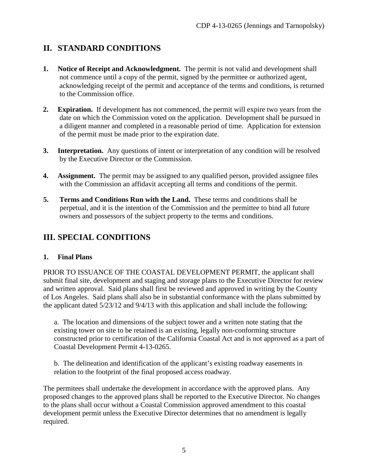# <span id="page-4-0"></span>**II. STANDARD CONDITIONS**

- **1. Notice of Receipt and Acknowledgment.** The permit is not valid and development shall not commence until a copy of the permit, signed by the permittee or authorized agent, acknowledging receipt of the permit and acceptance of the terms and conditions, is returned to the Commission office.
- **2. Expiration.** If development has not commenced, the permit will expire two years from the date on which the Commission voted on the application. Development shall be pursued in a diligent manner and completed in a reasonable period of time. Application for extension of the permit must be made prior to the expiration date.
- **3. Interpretation.** Any questions of intent or interpretation of any condition will be resolved by the Executive Director or the Commission.
- **4. Assignment.** The permit may be assigned to any qualified person, provided assignee files with the Commission an affidavit accepting all terms and conditions of the permit.
- **5. Terms and Conditions Run with the Land.** These terms and conditions shall be perpetual, and it is the intention of the Commission and the permittee to bind all future owners and possessors of the subject property to the terms and conditions.

# <span id="page-4-1"></span>**III. SPECIAL CONDITIONS**

#### <span id="page-4-2"></span>**1. Final Plans**

PRIOR TO ISSUANCE OF THE COASTAL DEVELOPMENT PERMIT, the applicant shall submit final site, development and staging and storage plans to the Executive Director for review and written approval. Said plans shall first be reviewed and approved in writing by the County of Los Angeles. Said plans shall also be in substantial conformance with the plans submitted by the applicant dated 5/23/12 and 9/4/13 with this application and shall include the following:

a. The location and dimensions of the subject tower and a written note stating that the existing tower on site to be retained is an existing, legally non-conforming structure constructed prior to certification of the California Coastal Act and is not approved as a part of Coastal Development Permit 4-13-0265.

b. The delineation and identification of the applicant's existing roadway easements in relation to the footprint of the final proposed access roadway.

The permitees shall undertake the development in accordance with the approved plans. Any proposed changes to the approved plans shall be reported to the Executive Director. No changes to the plans shall occur without a Coastal Commission approved amendment to this coastal development permit unless the Executive Director determines that no amendment is legally required.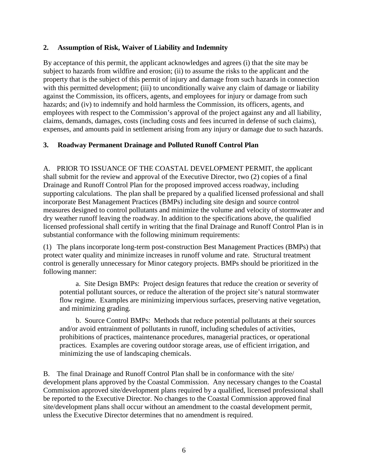#### <span id="page-5-0"></span>**2. Assumption of Risk, Waiver of Liability and Indemnity**

By acceptance of this permit, the applicant acknowledges and agrees (i) that the site may be subject to hazards from wildfire and erosion; (ii) to assume the risks to the applicant and the property that is the subject of this permit of injury and damage from such hazards in connection with this permitted development; (iii) to unconditionally waive any claim of damage or liability against the Commission, its officers, agents, and employees for injury or damage from such hazards; and (iv) to indemnify and hold harmless the Commission, its officers, agents, and employees with respect to the Commission's approval of the project against any and all liability, claims, demands, damages, costs (including costs and fees incurred in defense of such claims), expenses, and amounts paid in settlement arising from any injury or damage due to such hazards.

#### <span id="page-5-1"></span>**3. Roadway Permanent Drainage and Polluted Runoff Control Plan**

A. PRIOR TO ISSUANCE OF THE COASTAL DEVELOPMENT PERMIT, the applicant shall submit for the review and approval of the Executive Director, two (2) copies of a final Drainage and Runoff Control Plan for the proposed improved access roadway, including supporting calculations. The plan shall be prepared by a qualified licensed professional and shall incorporate Best Management Practices (BMPs) including site design and source control measures designed to control pollutants and minimize the volume and velocity of stormwater and dry weather runoff leaving the roadway. In addition to the specifications above, the qualified licensed professional shall certify in writing that the final Drainage and Runoff Control Plan is in substantial conformance with the following minimum requirements:

(1) The plans incorporate long-term post-construction Best Management Practices (BMPs) that protect water quality and minimize increases in runoff volume and rate. Structural treatment control is generally unnecessary for Minor category projects. BMPs should be prioritized in the following manner:

a. Site Design BMPs: Project design features that reduce the creation or severity of potential pollutant sources, or reduce the alteration of the project site's natural stormwater flow regime. Examples are minimizing impervious surfaces, preserving native vegetation, and minimizing grading.

b. Source Control BMPs: Methods that reduce potential pollutants at their sources and/or avoid entrainment of pollutants in runoff, including schedules of activities, prohibitions of practices, maintenance procedures, managerial practices, or operational practices. Examples are covering outdoor storage areas, use of efficient irrigation, and minimizing the use of landscaping chemicals.

B. The final Drainage and Runoff Control Plan shall be in conformance with the site/ development plans approved by the Coastal Commission. Any necessary changes to the Coastal Commission approved site/development plans required by a qualified, licensed professional shall be reported to the Executive Director. No changes to the Coastal Commission approved final site/development plans shall occur without an amendment to the coastal development permit, unless the Executive Director determines that no amendment is required.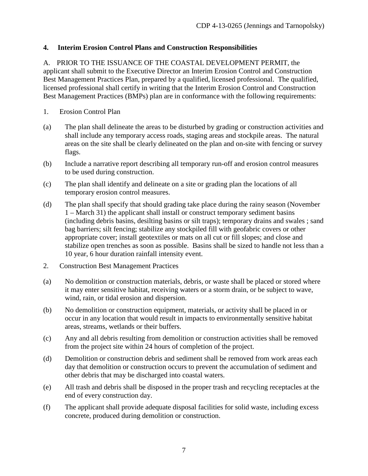### <span id="page-6-0"></span>**4. Interim Erosion Control Plans and Construction Responsibilities**

A. PRIOR TO THE ISSUANCE OF THE COASTAL DEVELOPMENT PERMIT, the applicant shall submit to the Executive Director an Interim Erosion Control and Construction Best Management Practices Plan, prepared by a qualified, licensed professional. The qualified, licensed professional shall certify in writing that the Interim Erosion Control and Construction Best Management Practices (BMPs) plan are in conformance with the following requirements:

- 1. Erosion Control Plan
- (a) The plan shall delineate the areas to be disturbed by grading or construction activities and shall include any temporary access roads, staging areas and stockpile areas. The natural areas on the site shall be clearly delineated on the plan and on-site with fencing or survey flags.
- (b) Include a narrative report describing all temporary run-off and erosion control measures to be used during construction.
- (c) The plan shall identify and delineate on a site or grading plan the locations of all temporary erosion control measures.
- (d) The plan shall specify that should grading take place during the rainy season (November 1 – March 31) the applicant shall install or construct temporary sediment basins (including debris basins, desilting basins or silt traps); temporary drains and swales ; sand bag barriers; silt fencing; stabilize any stockpiled fill with geofabric covers or other appropriate cover; install geotextiles or mats on all cut or fill slopes; and close and stabilize open trenches as soon as possible. Basins shall be sized to handle not less than a 10 year, 6 hour duration rainfall intensity event.
- 2. Construction Best Management Practices
- (a) No demolition or construction materials, debris, or waste shall be placed or stored where it may enter sensitive habitat, receiving waters or a storm drain, or be subject to wave, wind, rain, or tidal erosion and dispersion.
- (b) No demolition or construction equipment, materials, or activity shall be placed in or occur in any location that would result in impacts to environmentally sensitive habitat areas, streams, wetlands or their buffers.
- (c) Any and all debris resulting from demolition or construction activities shall be removed from the project site within 24 hours of completion of the project.
- (d) Demolition or construction debris and sediment shall be removed from work areas each day that demolition or construction occurs to prevent the accumulation of sediment and other debris that may be discharged into coastal waters.
- (e) All trash and debris shall be disposed in the proper trash and recycling receptacles at the end of every construction day.
- (f) The applicant shall provide adequate disposal facilities for solid waste, including excess concrete, produced during demolition or construction.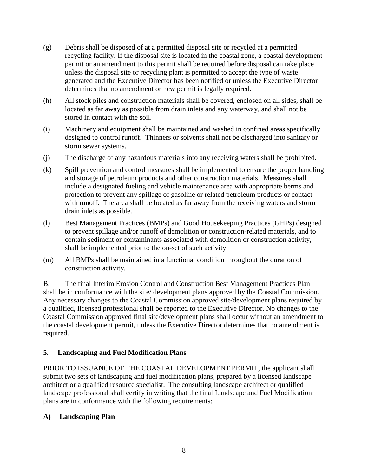- (g) Debris shall be disposed of at a permitted disposal site or recycled at a permitted recycling facility. If the disposal site is located in the coastal zone, a coastal development permit or an amendment to this permit shall be required before disposal can take place unless the disposal site or recycling plant is permitted to accept the type of waste generated and the Executive Director has been notified or unless the Executive Director determines that no amendment or new permit is legally required.
- (h) All stock piles and construction materials shall be covered, enclosed on all sides, shall be located as far away as possible from drain inlets and any waterway, and shall not be stored in contact with the soil.
- (i) Machinery and equipment shall be maintained and washed in confined areas specifically designed to control runoff. Thinners or solvents shall not be discharged into sanitary or storm sewer systems.
- (j) The discharge of any hazardous materials into any receiving waters shall be prohibited.
- (k) Spill prevention and control measures shall be implemented to ensure the proper handling and storage of petroleum products and other construction materials. Measures shall include a designated fueling and vehicle maintenance area with appropriate berms and protection to prevent any spillage of gasoline or related petroleum products or contact with runoff. The area shall be located as far away from the receiving waters and storm drain inlets as possible.
- (l) Best Management Practices (BMPs) and Good Housekeeping Practices (GHPs) designed to prevent spillage and/or runoff of demolition or construction-related materials, and to contain sediment or contaminants associated with demolition or construction activity, shall be implemented prior to the on-set of such activity
- (m) All BMPs shall be maintained in a functional condition throughout the duration of construction activity.

B. The final Interim Erosion Control and Construction Best Management Practices Plan shall be in conformance with the site/ development plans approved by the Coastal Commission. Any necessary changes to the Coastal Commission approved site/development plans required by a qualified, licensed professional shall be reported to the Executive Director. No changes to the Coastal Commission approved final site/development plans shall occur without an amendment to the coastal development permit, unless the Executive Director determines that no amendment is required.

#### <span id="page-7-0"></span>**5. Landscaping and Fuel Modification Plans**

PRIOR TO ISSUANCE OF THE COASTAL DEVELOPMENT PERMIT, the applicant shall submit two sets of landscaping and fuel modification plans, prepared by a licensed landscape architect or a qualified resource specialist. The consulting landscape architect or qualified landscape professional shall certify in writing that the final Landscape and Fuel Modification plans are in conformance with the following requirements:

#### **A) Landscaping Plan**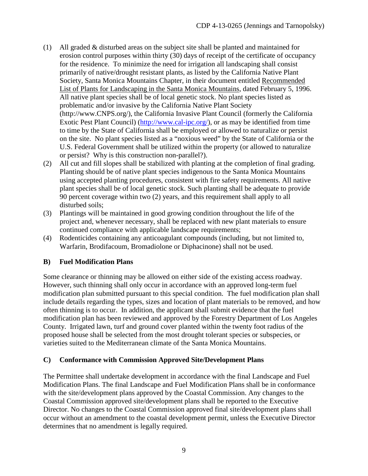- (1) All graded & disturbed areas on the subject site shall be planted and maintained for erosion control purposes within thirty (30) days of receipt of the certificate of occupancy for the residence. To minimize the need for irrigation all landscaping shall consist primarily of native/drought resistant plants, as listed by the California Native Plant Society, Santa Monica Mountains Chapter, in their document entitled Recommended List of Plants for Landscaping in the Santa Monica Mountains, dated February 5, 1996. All native plant species shall be of local genetic stock. No plant species listed as problematic and/or invasive by the California Native Plant Society [\(http://www.CNPS.org/\)](http://www.cnps.org/), the California Invasive Plant Council (formerly the California Exotic Pest Plant Council) [\(http://www.cal-ipc.org/\)](http://www.cal-ipc.org/), or as may be identified from time to time by the State of California shall be employed or allowed to naturalize or persist on the site. No plant species listed as a "noxious weed" by the State of California or the U.S. Federal Government shall be utilized within the property (or allowed to naturalize or persist? Why is this construction non-parallel?).
- (2) All cut and fill slopes shall be stabilized with planting at the completion of final grading. Planting should be of native plant species indigenous to the Santa Monica Mountains using accepted planting procedures, consistent with fire safety requirements. All native plant species shall be of local genetic stock. Such planting shall be adequate to provide 90 percent coverage within two (2) years, and this requirement shall apply to all disturbed soils;
- (3) Plantings will be maintained in good growing condition throughout the life of the project and, whenever necessary, shall be replaced with new plant materials to ensure continued compliance with applicable landscape requirements;
- (4) Rodenticides containing any anticoagulant compounds (including, but not limited to, Warfarin, Brodifacoum, Bromadiolone or Diphacinone) shall not be used.

# **B) Fuel Modification Plans**

Some clearance or thinning may be allowed on either side of the existing access roadway. However, such thinning shall only occur in accordance with an approved long-term fuel modification plan submitted pursuant to this special condition. The fuel modification plan shall include details regarding the types, sizes and location of plant materials to be removed, and how often thinning is to occur. In addition, the applicant shall submit evidence that the fuel modification plan has been reviewed and approved by the Forestry Department of Los Angeles County. Irrigated lawn, turf and ground cover planted within the twenty foot radius of the proposed house shall be selected from the most drought tolerant species or subspecies, or varieties suited to the Mediterranean climate of the Santa Monica Mountains.

#### **C) Conformance with Commission Approved Site/Development Plans**

The Permittee shall undertake development in accordance with the final Landscape and Fuel Modification Plans. The final Landscape and Fuel Modification Plans shall be in conformance with the site/development plans approved by the Coastal Commission. Any changes to the Coastal Commission approved site/development plans shall be reported to the Executive Director. No changes to the Coastal Commission approved final site/development plans shall occur without an amendment to the coastal development permit, unless the Executive Director determines that no amendment is legally required.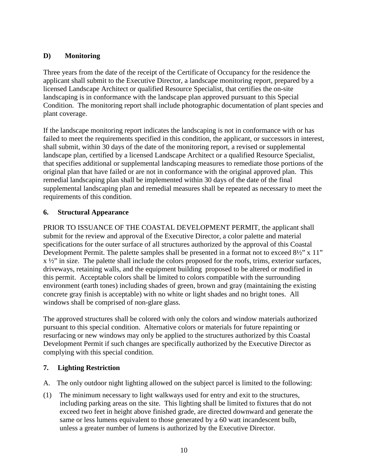# **D) Monitoring**

Three years from the date of the receipt of the Certificate of Occupancy for the residence the applicant shall submit to the Executive Director, a landscape monitoring report, prepared by a licensed Landscape Architect or qualified Resource Specialist, that certifies the on-site landscaping is in conformance with the landscape plan approved pursuant to this Special Condition. The monitoring report shall include photographic documentation of plant species and plant coverage.

If the landscape monitoring report indicates the landscaping is not in conformance with or has failed to meet the requirements specified in this condition, the applicant, or successors in interest, shall submit, within 30 days of the date of the monitoring report, a revised or supplemental landscape plan, certified by a licensed Landscape Architect or a qualified Resource Specialist, that specifies additional or supplemental landscaping measures to remediate those portions of the original plan that have failed or are not in conformance with the original approved plan. This remedial landscaping plan shall be implemented within 30 days of the date of the final supplemental landscaping plan and remedial measures shall be repeated as necessary to meet the requirements of this condition.

### <span id="page-9-0"></span>**6. Structural Appearance**

PRIOR TO ISSUANCE OF THE COASTAL DEVELOPMENT PERMIT, the applicant shall submit for the review and approval of the Executive Director, a color palette and material specifications for the outer surface of all structures authorized by the approval of this Coastal Development Permit. The palette samples shall be presented in a format not to exceed  $8\frac{1}{2}$ " x 11" x ½" in size. The palette shall include the colors proposed for the roofs, trims, exterior surfaces, driveways, retaining walls, and the equipment building proposed to be altered or modified in this permit. Acceptable colors shall be limited to colors compatible with the surrounding environment (earth tones) including shades of green, brown and gray (maintaining the existing concrete gray finish is acceptable) with no white or light shades and no bright tones. All windows shall be comprised of non-glare glass.

The approved structures shall be colored with only the colors and window materials authorized pursuant to this special condition. Alternative colors or materials for future repainting or resurfacing or new windows may only be applied to the structures authorized by this Coastal Development Permit if such changes are specifically authorized by the Executive Director as complying with this special condition.

#### <span id="page-9-1"></span>**7. Lighting Restriction**

- A. The only outdoor night lighting allowed on the subject parcel is limited to the following:
- (1) The minimum necessary to light walkways used for entry and exit to the structures, including parking areas on the site. This lighting shall be limited to fixtures that do not exceed two feet in height above finished grade, are directed downward and generate the same or less lumens equivalent to those generated by a 60 watt incandescent bulb, unless a greater number of lumens is authorized by the Executive Director.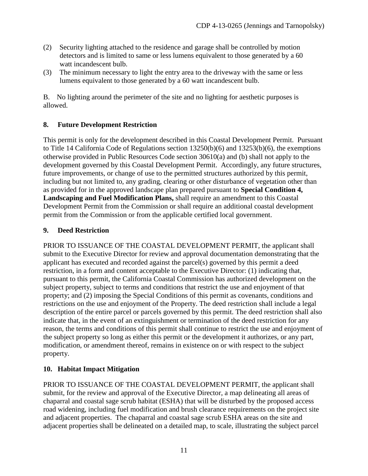- (2) Security lighting attached to the residence and garage shall be controlled by motion detectors and is limited to same or less lumens equivalent to those generated by a 60 watt incandescent bulb.
- (3) The minimum necessary to light the entry area to the driveway with the same or less lumens equivalent to those generated by a 60 watt incandescent bulb.

B. No lighting around the perimeter of the site and no lighting for aesthetic purposes is allowed.

### <span id="page-10-0"></span>**8. Future Development Restriction**

This permit is only for the development described in this Coastal Development Permit. Pursuant to Title 14 California Code of Regulations section 13250(b)(6) and 13253(b)(6), the exemptions otherwise provided in Public Resources Code section 30610(a) and (b) shall not apply to the development governed by this Coastal Development Permit. Accordingly, any future structures, future improvements, or change of use to the permitted structures authorized by this permit, including but not limited to, any grading, clearing or other disturbance of vegetation other than as provided for in the approved landscape plan prepared pursuant to **Special Condition 4, Landscaping and Fuel Modification Plans,** shall require an amendment to this Coastal Development Permit from the Commission or shall require an additional coastal development permit from the Commission or from the applicable certified local government.

#### <span id="page-10-1"></span>**9. Deed Restriction**

PRIOR TO ISSUANCE OF THE COASTAL DEVELOPMENT PERMIT, the applicant shall submit to the Executive Director for review and approval documentation demonstrating that the applicant has executed and recorded against the parcel(s) governed by this permit a deed restriction, in a form and content acceptable to the Executive Director: (1) indicating that, pursuant to this permit, the California Coastal Commission has authorized development on the subject property, subject to terms and conditions that restrict the use and enjoyment of that property; and (2) imposing the Special Conditions of this permit as covenants, conditions and restrictions on the use and enjoyment of the Property. The deed restriction shall include a legal description of the entire parcel or parcels governed by this permit. The deed restriction shall also indicate that, in the event of an extinguishment or termination of the deed restriction for any reason, the terms and conditions of this permit shall continue to restrict the use and enjoyment of the subject property so long as either this permit or the development it authorizes, or any part, modification, or amendment thereof, remains in existence on or with respect to the subject property.

# <span id="page-10-2"></span>**10. Habitat Impact Mitigation**

PRIOR TO ISSUANCE OF THE COASTAL DEVELOPMENT PERMIT, the applicant shall submit, for the review and approval of the Executive Director, a map delineating all areas of chaparral and coastal sage scrub habitat (ESHA) that will be disturbed by the proposed access road widening, including fuel modification and brush clearance requirements on the project site and adjacent properties. The chaparral and coastal sage scrub ESHA areas on the site and adjacent properties shall be delineated on a detailed map, to scale, illustrating the subject parcel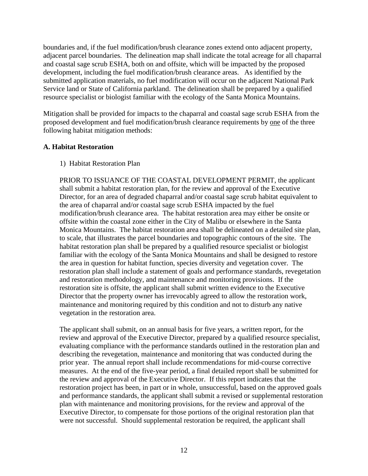boundaries and, if the fuel modification/brush clearance zones extend onto adjacent property, adjacent parcel boundaries. The delineation map shall indicate the total acreage for all chaparral and coastal sage scrub ESHA, both on and offsite, which will be impacted by the proposed development, including the fuel modification/brush clearance areas. As identified by the submitted application materials, no fuel modification will occur on the adjacent National Park Service land or State of California parkland. The delineation shall be prepared by a qualified resource specialist or biologist familiar with the ecology of the Santa Monica Mountains.

Mitigation shall be provided for impacts to the chaparral and coastal sage scrub ESHA from the proposed development and fuel modification/brush clearance requirements by one of the three following habitat mitigation methods:

#### **A. Habitat Restoration**

#### 1) Habitat Restoration Plan

PRIOR TO ISSUANCE OF THE COASTAL DEVELOPMENT PERMIT, the applicant shall submit a habitat restoration plan, for the review and approval of the Executive Director, for an area of degraded chaparral and/or coastal sage scrub habitat equivalent to the area of chaparral and/or coastal sage scrub ESHA impacted by the fuel modification/brush clearance area. The habitat restoration area may either be onsite or offsite within the coastal zone either in the City of Malibu or elsewhere in the Santa Monica Mountains. The habitat restoration area shall be delineated on a detailed site plan, to scale, that illustrates the parcel boundaries and topographic contours of the site. The habitat restoration plan shall be prepared by a qualified resource specialist or biologist familiar with the ecology of the Santa Monica Mountains and shall be designed to restore the area in question for habitat function, species diversity and vegetation cover. The restoration plan shall include a statement of goals and performance standards, revegetation and restoration methodology, and maintenance and monitoring provisions. If the restoration site is offsite, the applicant shall submit written evidence to the Executive Director that the property owner has irrevocably agreed to allow the restoration work, maintenance and monitoring required by this condition and not to disturb any native vegetation in the restoration area.

The applicant shall submit, on an annual basis for five years, a written report, for the review and approval of the Executive Director, prepared by a qualified resource specialist, evaluating compliance with the performance standards outlined in the restoration plan and describing the revegetation, maintenance and monitoring that was conducted during the prior year. The annual report shall include recommendations for mid-course corrective measures. At the end of the five-year period, a final detailed report shall be submitted for the review and approval of the Executive Director. If this report indicates that the restoration project has been, in part or in whole, unsuccessful, based on the approved goals and performance standards, the applicant shall submit a revised or supplemental restoration plan with maintenance and monitoring provisions, for the review and approval of the Executive Director, to compensate for those portions of the original restoration plan that were not successful. Should supplemental restoration be required, the applicant shall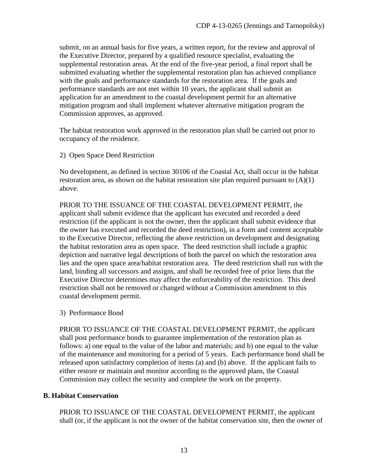submit, on an annual basis for five years, a written report, for the review and approval of the Executive Director, prepared by a qualified resource specialist, evaluating the supplemental restoration areas. At the end of the five-year period, a final report shall be submitted evaluating whether the supplemental restoration plan has achieved compliance with the goals and performance standards for the restoration area. If the goals and performance standards are not met within 10 years, the applicant shall submit an application for an amendment to the coastal development permit for an alternative mitigation program and shall implement whatever alternative mitigation program the Commission approves, as approved.

The habitat restoration work approved in the restoration plan shall be carried out prior to occupancy of the residence.

2) Open Space Deed Restriction

No development, as defined in section 30106 of the Coastal Act, shall occur in the habitat restoration area, as shown on the habitat restoration site plan required pursuant to  $(A)(1)$ above.

PRIOR TO THE ISSUANCE OF THE COASTAL DEVELOPMENT PERMIT, the applicant shall submit evidence that the applicant has executed and recorded a deed restriction (if the applicant is not the owner, then the applicant shall submit evidence that the owner has executed and recorded the deed restriction), in a form and content acceptable to the Executive Director, reflecting the above restriction on development and designating the habitat restoration area as open space. The deed restriction shall include a graphic depiction and narrative legal descriptions of both the parcel on which the restoration area lies and the open space area/habitat restoration area. The deed restriction shall run with the land, binding all successors and assigns, and shall be recorded free of prior liens that the Executive Director determines may affect the enforceability of the restriction. This deed restriction shall not be removed or changed without a Commission amendment to this coastal development permit.

3) Performance Bond

PRIOR TO ISSUANCE OF THE COASTAL DEVELOPMENT PERMIT, the applicant shall post performance bonds to guarantee implementation of the restoration plan as follows: a) one equal to the value of the labor and materials; and b) one equal to the value of the maintenance and monitoring for a period of 5 years. Each performance bond shall be released upon satisfactory completion of items (a) and (b) above. If the applicant fails to either restore or maintain and monitor according to the approved plans, the Coastal Commission may collect the security and complete the work on the property.

#### **B. Habitat Conservation**

PRIOR TO ISSUANCE OF THE COASTAL DEVELOPMENT PERMIT, the applicant shall (or, if the applicant is not the owner of the habitat conservation site, then the owner of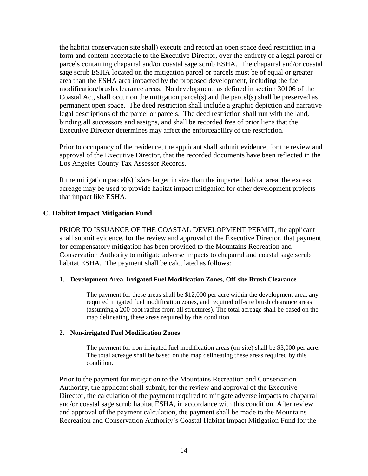the habitat conservation site shall) execute and record an open space deed restriction in a form and content acceptable to the Executive Director, over the entirety of a legal parcel or parcels containing chaparral and/or coastal sage scrub ESHA. The chaparral and/or coastal sage scrub ESHA located on the mitigation parcel or parcels must be of equal or greater area than the ESHA area impacted by the proposed development, including the fuel modification/brush clearance areas. No development, as defined in section 30106 of the Coastal Act, shall occur on the mitigation parcel(s) and the parcel(s) shall be preserved as permanent open space. The deed restriction shall include a graphic depiction and narrative legal descriptions of the parcel or parcels. The deed restriction shall run with the land, binding all successors and assigns, and shall be recorded free of prior liens that the Executive Director determines may affect the enforceability of the restriction.

Prior to occupancy of the residence, the applicant shall submit evidence, for the review and approval of the Executive Director, that the recorded documents have been reflected in the Los Angeles County Tax Assessor Records.

If the mitigation parcel(s) is/are larger in size than the impacted habitat area, the excess acreage may be used to provide habitat impact mitigation for other development projects that impact like ESHA.

#### **C. Habitat Impact Mitigation Fund**

PRIOR TO ISSUANCE OF THE COASTAL DEVELOPMENT PERMIT, the applicant shall submit evidence, for the review and approval of the Executive Director, that payment for compensatory mitigation has been provided to the Mountains Recreation and Conservation Authority to mitigate adverse impacts to chaparral and coastal sage scrub habitat ESHA. The payment shall be calculated as follows:

#### **1. Development Area, Irrigated Fuel Modification Zones, Off-site Brush Clearance**

The payment for these areas shall be \$12,000 per acre within the development area, any required irrigated fuel modification zones, and required off-site brush clearance areas (assuming a 200-foot radius from all structures). The total acreage shall be based on the map delineating these areas required by this condition.

#### **2. Non-irrigated Fuel Modification Zones**

The payment for non-irrigated fuel modification areas (on-site) shall be \$3,000 per acre. The total acreage shall be based on the map delineating these areas required by this condition.

Prior to the payment for mitigation to the Mountains Recreation and Conservation Authority, the applicant shall submit, for the review and approval of the Executive Director, the calculation of the payment required to mitigate adverse impacts to chaparral and/or coastal sage scrub habitat ESHA, in accordance with this condition. After review and approval of the payment calculation, the payment shall be made to the Mountains Recreation and Conservation Authority's Coastal Habitat Impact Mitigation Fund for the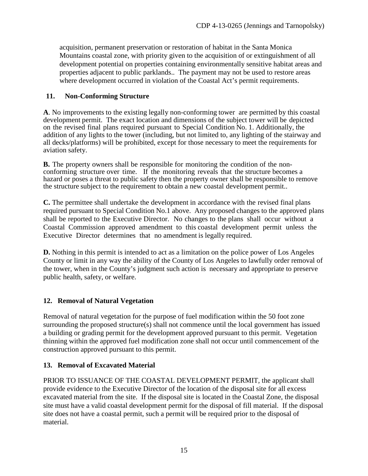acquisition, permanent preservation or restoration of habitat in the Santa Monica Mountains coastal zone, with priority given to the acquisition of or extinguishment of all development potential on properties containing environmentally sensitive habitat areas and properties adjacent to public parklands.. The payment may not be used to restore areas where development occurred in violation of the Coastal Act's permit requirements.

#### <span id="page-14-0"></span>**11. Non-Conforming Structure**

**A**. No improvements to the existing legally non-conforming tower are permitted by this coastal development permit. The exact location and dimensions of the subject tower will be depicted on the revised final plans required pursuant to Special Condition No. 1. Additionally, the addition of any lights to the tower (including, but not limited to, any lighting of the stairway and all decks/platforms) will be prohibited, except for those necessary to meet the requirements for aviation safety.

**B.** The property owners shall be responsible for monitoring the condition of the nonconforming structure over time. If the monitoring reveals that the structure becomes a hazard or poses a threat to public safety then the property owner shall be responsible to remove the structure subject to the requirement to obtain a new coastal development permit..

**C.** The permittee shall undertake the development in accordance with the revised final plans required pursuant to Special Condition No.1 above. Any proposed changes to the approved plans shall be reported to the Executive Director. No changes to the plans shall occur without a Coastal Commission approved amendment to this coastal development permit unless the Executive Director determines that no amendment is legally required.

**D.** Nothing in this permit is intended to act as a limitation on the police power of Los Angeles County or limit in any way the ability of the County of Los Angeles to lawfully order removal of the tower, when in the County's judgment such action is necessary and appropriate to preserve public health, safety, or welfare.

#### <span id="page-14-1"></span>**12. Removal of Natural Vegetation**

Removal of natural vegetation for the purpose of fuel modification within the 50 foot zone surrounding the proposed structure(s) shall not commence until the local government has issued a building or grading permit for the development approved pursuant to this permit. Vegetation thinning within the approved fuel modification zone shall not occur until commencement of the construction approved pursuant to this permit.

#### <span id="page-14-2"></span>**13. Removal of Excavated Material**

PRIOR TO ISSUANCE OF THE COASTAL DEVELOPMENT PERMIT, the applicant shall provide evidence to the Executive Director of the location of the disposal site for all excess excavated material from the site. If the disposal site is located in the Coastal Zone, the disposal site must have a valid coastal development permit for the disposal of fill material. If the disposal site does not have a coastal permit, such a permit will be required prior to the disposal of material.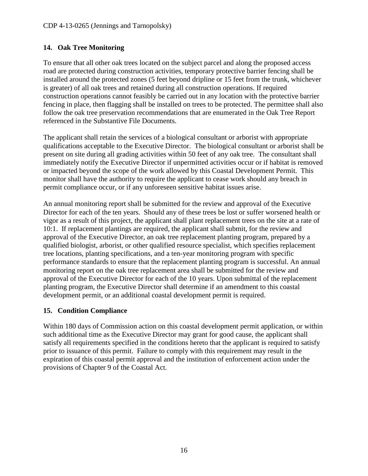# <span id="page-15-0"></span>**14. Oak Tree Monitoring**

To ensure that all other oak trees located on the subject parcel and along the proposed access road are protected during construction activities, temporary protective barrier fencing shall be installed around the protected zones (5 feet beyond dripline or 15 feet from the trunk, whichever is greater) of all oak trees and retained during all construction operations. If required construction operations cannot feasibly be carried out in any location with the protective barrier fencing in place, then flagging shall be installed on trees to be protected. The permittee shall also follow the oak tree preservation recommendations that are enumerated in the Oak Tree Report referenced in the Substantive File Documents.

The applicant shall retain the services of a biological consultant or arborist with appropriate qualifications acceptable to the Executive Director. The biological consultant or arborist shall be present on site during all grading activities within 50 feet of any oak tree. The consultant shall immediately notify the Executive Director if unpermitted activities occur or if habitat is removed or impacted beyond the scope of the work allowed by this Coastal Development Permit. This monitor shall have the authority to require the applicant to cease work should any breach in permit compliance occur, or if any unforeseen sensitive habitat issues arise.

An annual monitoring report shall be submitted for the review and approval of the Executive Director for each of the ten years. Should any of these trees be lost or suffer worsened health or vigor as a result of this project, the applicant shall plant replacement trees on the site at a rate of 10:1. If replacement plantings are required, the applicant shall submit, for the review and approval of the Executive Director, an oak tree replacement planting program, prepared by a qualified biologist, arborist, or other qualified resource specialist, which specifies replacement tree locations, planting specifications, and a ten-year monitoring program with specific performance standards to ensure that the replacement planting program is successful. An annual monitoring report on the oak tree replacement area shall be submitted for the review and approval of the Executive Director for each of the 10 years. Upon submittal of the replacement planting program, the Executive Director shall determine if an amendment to this coastal development permit, or an additional coastal development permit is required.

#### <span id="page-15-1"></span>**15. Condition Compliance**

Within 180 days of Commission action on this coastal development permit application, or within such additional time as the Executive Director may grant for good cause, the applicant shall satisfy all requirements specified in the conditions hereto that the applicant is required to satisfy prior to issuance of this permit. Failure to comply with this requirement may result in the expiration of this coastal permit approval and the institution of enforcement action under the provisions of Chapter 9 of the Coastal Act.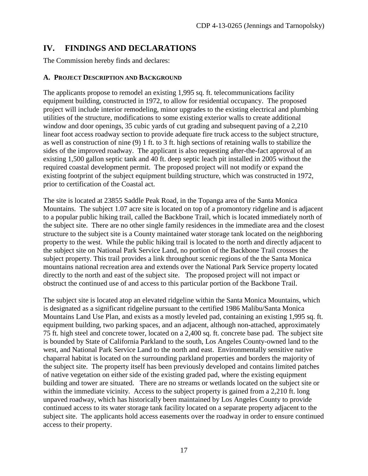# <span id="page-16-0"></span>**IV. FINDINGS AND DECLARATIONS**

The Commission hereby finds and declares:

# <span id="page-16-1"></span>**A. PROJECT DESCRIPTION AND BACKGROUND**

The applicants propose to remodel an existing 1,995 sq. ft. telecommunications facility equipment building, constructed in 1972, to allow for residential occupancy. The proposed project will include interior remodeling, minor upgrades to the existing electrical and plumbing utilities of the structure, modifications to some existing exterior walls to create additional window and door openings, 35 cubic yards of cut grading and subsequent paving of a 2,210 linear foot access roadway section to provide adequate fire truck access to the subject structure, as well as construction of nine (9) 1 ft. to 3 ft. high sections of retaining walls to stabilize the sides of the improved roadway. The applicant is also requesting after-the-fact approval of an existing 1,500 gallon septic tank and 40 ft. deep septic leach pit installed in 2005 without the required coastal development permit. The proposed project will not modify or expand the existing footprint of the subject equipment building structure, which was constructed in 1972, prior to certification of the Coastal act.

The site is located at 23855 Saddle Peak Road, in the Topanga area of the Santa Monica Mountains. The subject 1.07 acre site is located on top of a promontory ridgeline and is adjacent to a popular public hiking trail, called the Backbone Trail, which is located immediately north of the subject site. There are no other single family residences in the immediate area and the closest structure to the subject site is a County maintained water storage tank located on the neighboring property to the west. While the public hiking trail is located to the north and directly adjacent to the subject site on National Park Service Land, no portion of the Backbone Trail crosses the subject property. This trail provides a link throughout scenic regions of the the Santa Monica mountains national recreation area and extends over the National Park Service property located directly to the north and east of the subject site. The proposed project will not impact or obstruct the continued use of and access to this particular portion of the Backbone Trail.

The subject site is located atop an elevated ridgeline within the Santa Monica Mountains, which is designated as a significant ridgeline pursuant to the certified 1986 Malibu/Santa Monica Mountains Land Use Plan, and exists as a mostly leveled pad, containing an existing 1,995 sq. ft. equipment building, two parking spaces, and an adjacent, although non-attached, approximately 75 ft. high steel and concrete tower, located on a 2,400 sq. ft. concrete base pad. The subject site is bounded by State of California Parkland to the south, Los Angeles County-owned land to the west, and National Park Service Land to the north and east. Environmentally sensitive native chaparral habitat is located on the surrounding parkland properties and borders the majority of the subject site. The property itself has been previously developed and contains limited patches of native vegetation on either side of the existing graded pad, where the existing equipment building and tower are situated. There are no streams or wetlands located on the subject site or within the immediate vicinity. Access to the subject property is gained from a 2,210 ft. long unpaved roadway, which has historically been maintained by Los Angeles County to provide continued access to its water storage tank facility located on a separate property adjacent to the subject site. The applicants hold access easements over the roadway in order to ensure continued access to their property.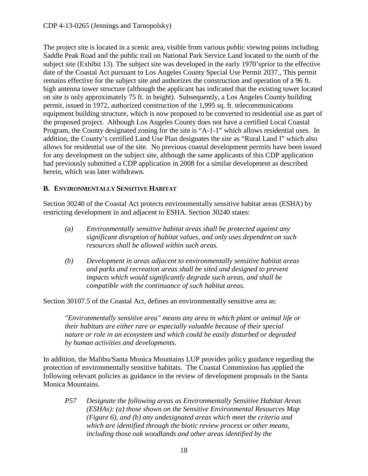#### CDP 4-13-0265 (Jennings and Tarnopolsky)

The project site is located in a scenic area, visible from various public viewing points including Saddle Peak Road and the public trail on National Park Service Land located to the north of the subject site (Exhibit 13). The subject site was developed in the early 1970'sprior to the effective date of the Coastal Act pursuant to Los Angeles County Special Use Permit 2037., This permit remains effective for the subject site and authorizes the construction and operation of a 96 ft. high antenna tower structure (although the applicant has indicated that the existing tower located on site is only approximately 75 ft. in height). Subsequently, a Los Angeles County building permit, issued in 1972, authorized construction of the 1,995 sq. ft. telecommunications equipment building structure, which is now proposed to be converted to residential use as part of the proposed project. Although Los Angeles County does not have a certified Local Coastal Program, the County designated zoning for the site is "A-1-1" which allows residential uses. In addition, the County's certified Land Use Plan designates the site as "Rural Land I" which also allows for residential use of the site. No previous coastal development permits have been issued for any development on the subject site, although the same applicants of this CDP application had previously submitted a CDP application in 2008 for a similar development as described herein, which was later withdrawn.

#### <span id="page-17-0"></span>**B. ENVIRONMENTALLY SENSITIVE HABITAT**

Section 30240 of the Coastal Act protects environmentally sensitive habitat areas (ESHA) by restricting development in and adjacent to ESHA. Section 30240 states:

- *(a) Environmentally sensitive habitat areas shall be protected against any significant disruption of habitat values, and only uses dependent on such resources shall be allowed within such areas.*
- *(b) Development in areas adjacent to environmentally sensitive habitat areas and parks and recreation areas shall be sited and designed to prevent impacts which would significantly degrade such areas, and shall be compatible with the continuance of such habitat areas.*

Section 30107.5 of the Coastal Act, defines an environmentally sensitive area as:

*"Environmentally sensitive area" means any area in which plant or animal life or their habitats are either rare or especially valuable because of their special nature or role in an ecosystem and which could be easily disturbed or degraded by human activities and developments.* 

In addition, the Malibu/Santa Monica Mountains LUP provides policy guidance regarding the protection of environmentally sensitive habitats. The Coastal Commission has applied the following relevant policies as guidance in the review of development proposals in the Santa Monica Mountains.

*P57 Designate the following areas as Environmentally Sensitive Habitat Areas (ESHAs): (a) those shown on the Sensitive Environmental Resources Map (Figure 6), and (b) any undesignated areas which meet the criteria and which are identified through the biotic review process or other means, including those oak woodlands and other areas identified by the*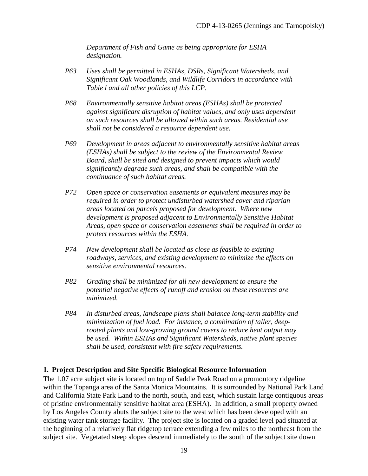*Department of Fish and Game as being appropriate for ESHA designation.*

- *P63 Uses shall be permitted in ESHAs, DSRs, Significant Watersheds, and Significant Oak Woodlands, and Wildlife Corridors in accordance with Table l and all other policies of this LCP.*
- *P68 Environmentally sensitive habitat areas (ESHAs) shall be protected against significant disruption of habitat values, and only uses dependent on such resources shall be allowed within such areas. Residential use shall not be considered a resource dependent use.*
- *P69 Development in areas adjacent to environmentally sensitive habitat areas (ESHAs) shall be subject to the review of the Environmental Review Board, shall be sited and designed to prevent impacts which would significantly degrade such areas, and shall be compatible with the continuance of such habitat areas.*
- *P72 Open space or conservation easements or equivalent measures may be required in order to protect undisturbed watershed cover and riparian areas located on parcels proposed for development. Where new development is proposed adjacent to Environmentally Sensitive Habitat Areas, open space or conservation easements shall be required in order to protect resources within the ESHA.*
- *P74 New development shall be located as close as feasible to existing roadways, services, and existing development to minimize the effects on sensitive environmental resources.*
- *P82 Grading shall be minimized for all new development to ensure the potential negative effects of runoff and erosion on these resources are minimized.*
- *P84 In disturbed areas, landscape plans shall balance long-term stability and minimization of fuel load. For instance, a combination of taller, deeprooted plants and low-growing ground covers to reduce heat output may be used. Within ESHAs and Significant Watersheds, native plant species shall be used, consistent with fire safety requirements.*

#### **1. Project Description and Site Specific Biological Resource Information**

The 1.07 acre subject site is located on top of Saddle Peak Road on a promontory ridgeline within the Topanga area of the Santa Monica Mountains. It is surrounded by National Park Land and California State Park Land to the north, south, and east, which sustain large contiguous areas of pristine environmentally sensitive habitat area (ESHA). In addition, a small property owned by Los Angeles County abuts the subject site to the west which has been developed with an existing water tank storage facility. The project site is located on a graded level pad situated at the beginning of a relatively flat ridgetop terrace extending a few miles to the northeast from the subject site. Vegetated steep slopes descend immediately to the south of the subject site down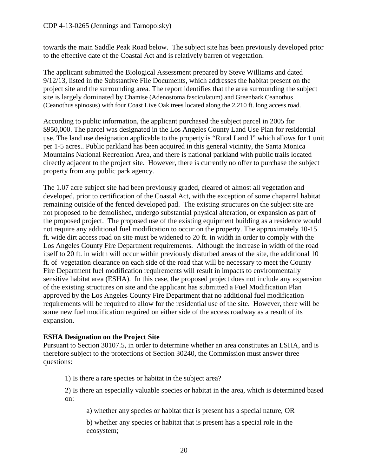towards the main Saddle Peak Road below.The subject site has been previously developed prior to the effective date of the Coastal Act and is relatively barren of vegetation.

The applicant submitted the Biological Assessment prepared by Steve Williams and dated 9/12/13, listed in the Substantive File Documents, which addresses the habitat present on the project site and the surrounding area. The report identifies that the area surrounding the subject site is largely dominated by Chamise (Adenostoma fasciculatum) and Greenbark Ceanothus (Ceanothus spinosus) with four Coast Live Oak trees located along the 2,210 ft. long access road.

According to public information, the applicant purchased the subject parcel in 2005 for \$950,000. The parcel was designated in the Los Angeles County Land Use Plan for residential use. The land use designation applicable to the property is "Rural Land I" which allows for 1 unit per 1-5 acres.. Public parkland has been acquired in this general vicinity, the Santa Monica Mountains National Recreation Area, and there is national parkland with public trails located directly adjacent to the project site. However, there is currently no offer to purchase the subject property from any public park agency.

The 1.07 acre subject site had been previously graded, cleared of almost all vegetation and developed, prior to certification of the Coastal Act, with the exception of some chaparral habitat remaining outside of the fenced developed pad. The existing structures on the subject site are not proposed to be demolished, undergo substantial physical alteration, or expansion as part of the proposed project. The proposed use of the existing equipment building as a residence would not require any additional fuel modification to occur on the property. The approximately 10-15 ft. wide dirt access road on site must be widened to 20 ft. in width in order to comply with the Los Angeles County Fire Department requirements. Although the increase in width of the road itself to 20 ft. in width will occur within previously disturbed areas of the site, the additional 10 ft. of vegetation clearance on each side of the road that will be necessary to meet the County Fire Department fuel modification requirements will result in impacts to environmentally sensitive habitat area (ESHA). In this case, the proposed project does not include any expansion of the existing structures on site and the applicant has submitted a Fuel Modification Plan approved by the Los Angeles County Fire Department that no additional fuel modification requirements will be required to allow for the residential use of the site. However, there will be some new fuel modification required on either side of the access roadway as a result of its expansion.

#### **ESHA Designation on the Project Site**

Pursuant to Section 30107.5, in order to determine whether an area constitutes an ESHA, and is therefore subject to the protections of Section 30240, the Commission must answer three questions:

1) Is there a rare species or habitat in the subject area?

2) Is there an especially valuable species or habitat in the area, which is determined based on:

a) whether any species or habitat that is present has a special nature, OR

b) whether any species or habitat that is present has a special role in the ecosystem;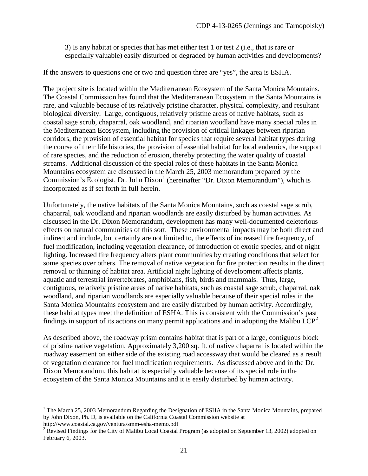3) Is any habitat or species that has met either test 1 or test 2 (i.e., that is rare or especially valuable) easily disturbed or degraded by human activities and developments?

If the answers to questions one or two and question three are "yes", the area is ESHA.

The project site is located within the Mediterranean Ecosystem of the Santa Monica Mountains. The Coastal Commission has found that the Mediterranean Ecosystem in the Santa Mountains is rare, and valuable because of its relatively pristine character, physical complexity, and resultant biological diversity. Large, contiguous, relatively pristine areas of native habitats, such as coastal sage scrub, chaparral, oak woodland, and riparian woodland have many special roles in the Mediterranean Ecosystem, including the provision of critical linkages between riparian corridors, the provision of essential habitat for species that require several habitat types during the course of their life histories, the provision of essential habitat for local endemics, the support of rare species, and the reduction of erosion, thereby protecting the water quality of coastal streams. Additional discussion of the special roles of these habitats in the Santa Monica Mountains ecosystem are discussed in the March 25, 2003 memorandum prepared by the Commission's Ecologist, Dr. John Dixon<sup>[1](#page-20-0)</sup> (hereinafter "Dr. Dixon Memorandum"), which is incorporated as if set forth in full herein.

Unfortunately, the native habitats of the Santa Monica Mountains, such as coastal sage scrub, chaparral, oak woodland and riparian woodlands are easily disturbed by human activities. As discussed in the Dr. Dixon Memorandum, development has many well-documented deleterious effects on natural communities of this sort. These environmental impacts may be both direct and indirect and include, but certainly are not limited to, the effects of increased fire frequency, of fuel modification, including vegetation clearance, of introduction of exotic species, and of night lighting. Increased fire frequency alters plant communities by creating conditions that select for some species over others. The removal of native vegetation for fire protection results in the direct removal or thinning of habitat area. Artificial night lighting of development affects plants, aquatic and terrestrial invertebrates, amphibians, fish, birds and mammals. Thus, large, contiguous, relatively pristine areas of native habitats, such as coastal sage scrub, chaparral, oak woodland, and riparian woodlands are especially valuable because of their special roles in the Santa Monica Mountains ecosystem and are easily disturbed by human activity. Accordingly, these habitat types meet the definition of ESHA. This is consistent with the Commission's past findings in support of its actions on many permit applications and in adopting the Malibu LCP<sup>[2](#page-20-1)</sup>.

As described above, the roadway prism contains habitat that is part of a large, contiguous block of pristine native vegetation. Approximately 3,200 sq. ft. of native chaparral is located within the roadway easement on either side of the existing road accessway that would be cleared as a result of vegetation clearance for fuel modification requirements. As discussed above and in the Dr. Dixon Memorandum, this habitat is especially valuable because of its special role in the ecosystem of the Santa Monica Mountains and it is easily disturbed by human activity.

 $\overline{a}$ 

<span id="page-20-0"></span> $1$  The March 25, 2003 Memorandum Regarding the Designation of ESHA in the Santa Monica Mountains, prepared by John Dixon, Ph. D, is available on the California Coastal Commission website at http://www.coastal.ca.gov/ventura/smm-esha-memo.pdf

<span id="page-20-1"></span><sup>&</sup>lt;sup>2</sup> Revised Findings for the City of Malibu Local Coastal Program (as adopted on September 13, 2002) adopted on February 6, 2003.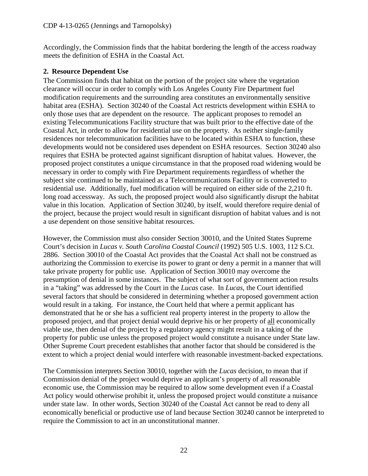Accordingly, the Commission finds that the habitat bordering the length of the access roadway meets the definition of ESHA in the Coastal Act.

#### **2. Resource Dependent Use**

The Commission finds that habitat on the portion of the project site where the vegetation clearance will occur in order to comply with Los Angeles County Fire Department fuel modification requirements and the surrounding area constitutes an environmentally sensitive habitat area (ESHA). Section 30240 of the Coastal Act restricts development within ESHA to only those uses that are dependent on the resource. The applicant proposes to remodel an existing Telecommunications Facility structure that was built prior to the effective date of the Coastal Act, in order to allow for residential use on the property. As neither single-family residences nor telecommunication facilities have to be located within ESHA to function, these developments would not be considered uses dependent on ESHA resources. Section 30240 also requires that ESHA be protected against significant disruption of habitat values. However, the proposed project constitutes a unique circumstance in that the proposed road widening would be necessary in order to comply with Fire Department requirements regardless of whether the subject site continued to be maintained as a Telecommunications Facility or is converted to residential use. Additionally, fuel modification will be required on either side of the 2,210 ft. long road accessway. As such, the proposed project would also significantly disrupt the habitat value in this location. Application of Section 30240, by itself, would therefore require denial of the project, because the project would result in significant disruption of habitat values and is not a use dependent on those sensitive habitat resources.

However, the Commission must also consider Section 30010, and the United States Supreme Court's decision in *Lucas v. South Carolina Coastal Council* (1992) 505 U.S. 1003, 112 S.Ct. 2886. Section 30010 of the Coastal Act provides that the Coastal Act shall not be construed as authorizing the Commission to exercise its power to grant or deny a permit in a manner that will take private property for public use. Application of Section 30010 may overcome the presumption of denial in some instances. The subject of what sort of government action results in a "taking" was addressed by the Court in the *Lucas* case. In *Lucas*, the Court identified several factors that should be considered in determining whether a proposed government action would result in a taking. For instance, the Court held that where a permit applicant has demonstrated that he or she has a sufficient real property interest in the property to allow the proposed project, and that project denial would deprive his or her property of all economically viable use, then denial of the project by a regulatory agency might result in a taking of the property for public use unless the proposed project would constitute a nuisance under State law. Other Supreme Court precedent establishes that another factor that should be considered is the extent to which a project denial would interfere with reasonable investment-backed expectations.

The Commission interprets Section 30010, together with the *Lucas* decision, to mean that if Commission denial of the project would deprive an applicant's property of all reasonable economic use, the Commission may be required to allow some development even if a Coastal Act policy would otherwise prohibit it, unless the proposed project would constitute a nuisance under state law. In other words, Section 30240 of the Coastal Act cannot be read to deny all economically beneficial or productive use of land because Section 30240 cannot be interpreted to require the Commission to act in an unconstitutional manner.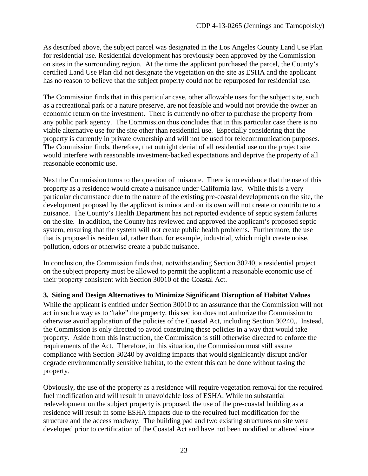As described above, the subject parcel was designated in the Los Angeles County Land Use Plan for residential use. Residential development has previously been approved by the Commission on sites in the surrounding region. At the time the applicant purchased the parcel, the County's certified Land Use Plan did not designate the vegetation on the site as ESHA and the applicant has no reason to believe that the subject property could not be repurposed for residential use.

The Commission finds that in this particular case, other allowable uses for the subject site, such as a recreational park or a nature preserve, are not feasible and would not provide the owner an economic return on the investment. There is currently no offer to purchase the property from any public park agency. The Commission thus concludes that in this particular case there is no viable alternative use for the site other than residential use. Especially considering that the property is currently in private ownership and will not be used for telecommunication purposes. The Commission finds, therefore, that outright denial of all residential use on the project site would interfere with reasonable investment-backed expectations and deprive the property of all reasonable economic use.

Next the Commission turns to the question of nuisance. There is no evidence that the use of this property as a residence would create a nuisance under California law. While this is a very particular circumstance due to the nature of the existing pre-coastal developments on the site, the development proposed by the applicant is minor and on its own will not create or contribute to a nuisance. The County's Health Department has not reported evidence of septic system failures on the site. In addition, the County has reviewed and approved the applicant's proposed septic system, ensuring that the system will not create public health problems. Furthermore, the use that is proposed is residential, rather than, for example, industrial, which might create noise, pollution, odors or otherwise create a public nuisance.

In conclusion, the Commission finds that, notwithstanding Section 30240, a residential project on the subject property must be allowed to permit the applicant a reasonable economic use of their property consistent with Section 30010 of the Coastal Act.

#### **3. Siting and Design Alternatives to Minimize Significant Disruption of Habitat Values**

While the applicant is entitled under Section 30010 to an assurance that the Commission will not act in such a way as to "take" the property, this section does not authorize the Commission to otherwise avoid application of the policies of the Coastal Act, including Section 30240,. Instead, the Commission is only directed to avoid construing these policies in a way that would take property. Aside from this instruction, the Commission is still otherwise directed to enforce the requirements of the Act. Therefore, in this situation, the Commission must still assure compliance with Section 30240 by avoiding impacts that would significantly disrupt and/or degrade environmentally sensitive habitat, to the extent this can be done without taking the property.

Obviously, the use of the property as a residence will require vegetation removal for the required fuel modification and will result in unavoidable loss of ESHA. While no substantial redevelopment on the subject property is proposed, the use of the pre-coastal building as a residence will result in some ESHA impacts due to the required fuel modification for the structure and the access roadway. The building pad and two existing structures on site were developed prior to certification of the Coastal Act and have not been modified or altered since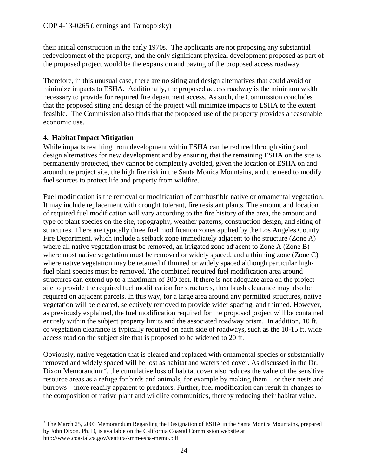their initial construction in the early 1970s. The applicants are not proposing any substantial redevelopment of the property, and the only significant physical development proposed as part of the proposed project would be the expansion and paving of the proposed access roadway.

Therefore, in this unusual case, there are no siting and design alternatives that could avoid or minimize impacts to ESHA. Additionally, the proposed access roadway is the minimum width necessary to provide for required fire department access. As such, the Commission concludes that the proposed siting and design of the project will minimize impacts to ESHA to the extent feasible. The Commission also finds that the proposed use of the property provides a reasonable economic use.

# **4. Habitat Impact Mitigation**

 $\overline{a}$ 

While impacts resulting from development within ESHA can be reduced through siting and design alternatives for new development and by ensuring that the remaining ESHA on the site is permanently protected, they cannot be completely avoided, given the location of ESHA on and around the project site, the high fire risk in the Santa Monica Mountains, and the need to modify fuel sources to protect life and property from wildfire.

Fuel modification is the removal or modification of combustible native or ornamental vegetation. It may include replacement with drought tolerant, fire resistant plants. The amount and location of required fuel modification will vary according to the fire history of the area, the amount and type of plant species on the site, topography, weather patterns, construction design, and siting of structures. There are typically three fuel modification zones applied by the Los Angeles County Fire Department, which include a setback zone immediately adjacent to the structure (Zone A) where all native vegetation must be removed, an irrigated zone adjacent to Zone A (Zone B) where most native vegetation must be removed or widely spaced, and a thinning zone (Zone C) where native vegetation may be retained if thinned or widely spaced although particular highfuel plant species must be removed. The combined required fuel modification area around structures can extend up to a maximum of 200 feet. If there is not adequate area on the project site to provide the required fuel modification for structures, then brush clearance may also be required on adjacent parcels. In this way, for a large area around any permitted structures, native vegetation will be cleared, selectively removed to provide wider spacing, and thinned. However, as previously explained, the fuel modification required for the proposed project will be contained entirely within the subject property limits and the associated roadway prism. In addition, 10 ft. of vegetation clearance is typically required on each side of roadways, such as the 10-15 ft. wide access road on the subject site that is proposed to be widened to 20 ft.

Obviously, native vegetation that is cleared and replaced with ornamental species or substantially removed and widely spaced will be lost as habitat and watershed cover. As discussed in the Dr. Dixon Memorandum<sup>[3](#page-23-0)</sup>, the cumulative loss of habitat cover also reduces the value of the sensitive resource areas as a refuge for birds and animals, for example by making them—or their nests and burrows—more readily apparent to predators. Further, fuel modification can result in changes to the composition of native plant and wildlife communities, thereby reducing their habitat value.

<span id="page-23-0"></span><sup>&</sup>lt;sup>3</sup> The March 25, 2003 Memorandum Regarding the Designation of ESHA in the Santa Monica Mountains, prepared by John Dixon, Ph. D, is available on the California Coastal Commission website at http://www.coastal.ca.gov/ventura/smm-esha-memo.pdf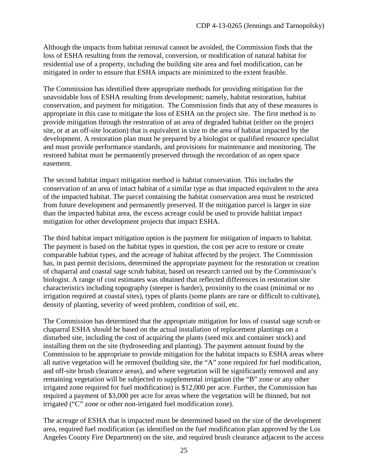Although the impacts from habitat removal cannot be avoided, the Commission finds that the loss of ESHA resulting from the removal, conversion, or modification of natural habitat for residential use of a property, including the building site area and fuel modification, can be mitigated in order to ensure that ESHA impacts are minimized to the extent feasible.

The Commission has identified three appropriate methods for providing mitigation for the unavoidable loss of ESHA resulting from development; namely, habitat restoration, habitat conservation, and payment for mitigation. The Commission finds that any of these measures is appropriate in this case to mitigate the loss of ESHA on the project site. The first method is to provide mitigation through the restoration of an area of degraded habitat (either on the project site, or at an off-site location) that is equivalent in size to the area of habitat impacted by the development. A restoration plan must be prepared by a biologist or qualified resource specialist and must provide performance standards, and provisions for maintenance and monitoring. The restored habitat must be permanently preserved through the recordation of an open space easement.

The second habitat impact mitigation method is habitat conservation. This includes the conservation of an area of intact habitat of a similar type as that impacted equivalent to the area of the impacted habitat. The parcel containing the habitat conservation area must be restricted from future development and permanently preserved. If the mitigation parcel is larger in size than the impacted habitat area, the excess acreage could be used to provide habitat impact mitigation for other development projects that impact ESHA.

The third habitat impact mitigation option is the payment for mitigation of impacts to habitat. The payment is based on the habitat types in question, the cost per acre to restore or create comparable habitat types, and the acreage of habitat affected by the project. The Commission has, in past permit decisions, determined the appropriate payment for the restoration or creation of chaparral and coastal sage scrub habitat, based on research carried out by the Commission's biologist. A range of cost estimates was obtained that reflected differences in restoration site characteristics including topography (steeper is harder), proximity to the coast (minimal or no irrigation required at coastal sites), types of plants (some plants are rare or difficult to cultivate), density of planting, severity of weed problem, condition of soil, etc.

The Commission has determined that the appropriate mitigation for loss of coastal sage scrub or chaparral ESHA should be based on the actual installation of replacement plantings on a disturbed site, including the cost of acquiring the plants (seed mix and container stock) and installing them on the site (hydroseeding and planting). The payment amount found by the Commission to be appropriate to provide mitigation for the habitat impacts to ESHA areas where all native vegetation will be removed (building site, the "A" zone required for fuel modification, and off-site brush clearance areas), and where vegetation will be significantly removed and any remaining vegetation will be subjected to supplemental irrigation (the "B" zone or any other irrigated zone required for fuel modification) is \$12,000 per acre. Further, the Commission has required a payment of \$3,000 per acre for areas where the vegetation will be thinned, but not irrigated ("C" zone or other non-irrigated fuel modification zone).

The acreage of ESHA that is impacted must be determined based on the size of the development area, required fuel modification (as identified on the fuel modification plan approved by the Los Angeles County Fire Department) on the site, and required brush clearance adjacent to the access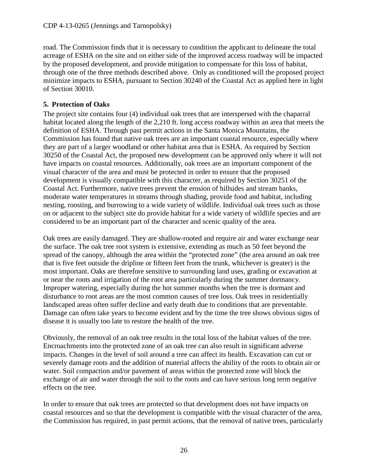road. The Commission finds that it is necessary to condition the applicant to delineate the total acreage of ESHA on the site and on either side of the improved access roadway will be impacted by the proposed development, and provide mitigation to compensate for this loss of habitat, through one of the three methods described above. Only as conditioned will the proposed project minimize impacts to ESHA, pursuant to Section 30240 of the Coastal Act as applied here in light of Section 30010.

### **5. Protection of Oaks**

The project site contains four (4) individual oak trees that are interspersed with the chaparral habitat located along the length of the 2,210 ft. long access roadway within an area that meets the definition of ESHA. Through past permit actions in the Santa Monica Mountains, the Commission has found that native oak trees are an important coastal resource, especially where they are part of a larger woodland or other habitat area that is ESHA. As required by Section 30250 of the Coastal Act, the proposed new development can be approved only where it will not have impacts on coastal resources. Additionally, oak trees are an important component of the visual character of the area and must be protected in order to ensure that the proposed development is visually compatible with this character, as required by Section 30251 of the Coastal Act. Furthermore, native trees prevent the erosion of hillsides and stream banks, moderate water temperatures in streams through shading, provide food and habitat, including nesting, roosting, and burrowing to a wide variety of wildlife. Individual oak trees such as those on or adjacent to the subject site do provide habitat for a wide variety of wildlife species and are considered to be an important part of the character and scenic quality of the area.

Oak trees are easily damaged. They are shallow-rooted and require air and water exchange near the surface. The oak tree root system is extensive, extending as much as 50 feet beyond the spread of the canopy, although the area within the "protected zone" (the area around an oak tree that is five feet outside the dripline or fifteen feet from the trunk, whichever is greater) is the most important. Oaks are therefore sensitive to surrounding land uses, grading or excavation at or near the roots and irrigation of the root area particularly during the summer dormancy. Improper watering, especially during the hot summer months when the tree is dormant and disturbance to root areas are the most common causes of tree loss. Oak trees in residentially landscaped areas often suffer decline and early death due to conditions that are preventable. Damage can often take years to become evident and by the time the tree shows obvious signs of disease it is usually too late to restore the health of the tree.

Obviously, the removal of an oak tree results in the total loss of the habitat values of the tree. Encroachments into the protected zone of an oak tree can also result in significant adverse impacts. Changes in the level of soil around a tree can affect its health. Excavation can cut or severely damage roots and the addition of material affects the ability of the roots to obtain air or water. Soil compaction and/or pavement of areas within the protected zone will block the exchange of air and water through the soil to the roots and can have serious long term negative effects on the tree.

In order to ensure that oak trees are protected so that development does not have impacts on coastal resources and so that the development is compatible with the visual character of the area, the Commission has required, in past permit actions, that the removal of native trees, particularly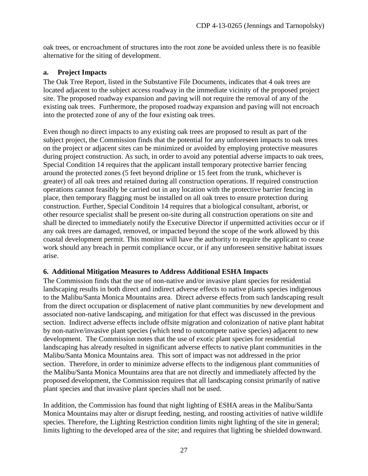oak trees, or encroachment of structures into the root zone be avoided unless there is no feasible alternative for the siting of development.

#### **a. Project Impacts**

The Oak Tree Report, listed in the Substantive File Documents, indicates that 4 oak trees are located adjacent to the subject access roadway in the immediate vicinity of the proposed project site. The proposed roadway expansion and paving will not require the removal of any of the existing oak trees. Furthermore, the proposed roadway expansion and paving will not encroach into the protected zone of any of the four existing oak trees.

Even though no direct impacts to any existing oak trees are proposed to result as part of the subject project, the Commission finds that the potential for any unforeseen impacts to oak trees on the project or adjacent sites can be minimized or avoided by employing protective measures during project construction. As such, in order to avoid any potential adverse impacts to oak trees, Special Condition 14 requires that the applicant install temporary protective barrier fencing around the protected zones (5 feet beyond dripline or 15 feet from the trunk, whichever is greater) of all oak trees and retained during all construction operations. If required construction operations cannot feasibly be carried out in any location with the protective barrier fencing in place, then temporary flagging must be installed on all oak trees to ensure protection during construction. Further, Special Conditoin 14 requires that a biological consultant, arborist, or other resource specialist shall be present on-site during all construction operations on site and shall be directed to immediately notify the Executive Director if unpermitted activities occur or if any oak trees are damaged, removed, or impacted beyond the scope of the work allowed by this coastal development permit. This monitor will have the authority to require the applicant to cease work should any breach in permit compliance occur, or if any unforeseen sensitive habitat issues arise.

#### **6. Additional Mitigation Measures to Address Additional ESHA Impacts**

The Commission finds that the use of non-native and/or invasive plant species for residential landscaping results in both direct and indirect adverse effects to native plants species indigenous to the Malibu/Santa Monica Mountains area. Direct adverse effects from such landscaping result from the direct occupation or displacement of native plant communities by new development and associated non-native landscaping, and mitigation for that effect was discussed in the previous section. Indirect adverse effects include offsite migration and colonization of native plant habitat by non-native/invasive plant species (which tend to outcompete native species) adjacent to new development. The Commission notes that the use of exotic plant species for residential landscaping has already resulted in significant adverse effects to native plant communities in the Malibu/Santa Monica Mountains area. This sort of impact was not addressed in the prior section. Therefore, in order to minimize adverse effects to the indigenous plant communities of the Malibu/Santa Monica Mountains area that are not directly and immediately affected by the proposed development, the Commission requires that all landscaping consist primarily of native plant species and that invasive plant species shall not be used.

In addition, the Commission has found that night lighting of ESHA areas in the Malibu/Santa Monica Mountains may alter or disrupt feeding, nesting, and roosting activities of native wildlife species. Therefore, the Lighting Restriction condition limits night lighting of the site in general; limits lighting to the developed area of the site; and requires that lighting be shielded downward.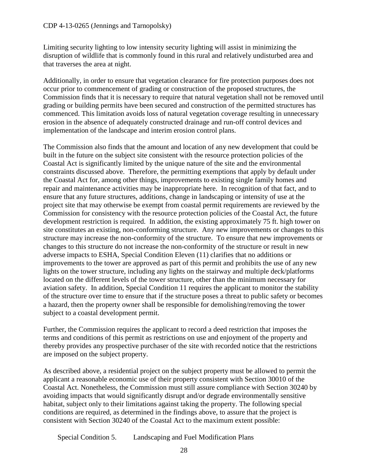Limiting security lighting to low intensity security lighting will assist in minimizing the disruption of wildlife that is commonly found in this rural and relatively undisturbed area and that traverses the area at night.

Additionally, in order to ensure that vegetation clearance for fire protection purposes does not occur prior to commencement of grading or construction of the proposed structures, the Commission finds that it is necessary to require that natural vegetation shall not be removed until grading or building permits have been secured and construction of the permitted structures has commenced. This limitation avoids loss of natural vegetation coverage resulting in unnecessary erosion in the absence of adequately constructed drainage and run-off control devices and implementation of the landscape and interim erosion control plans.

The Commission also finds that the amount and location of any new development that could be built in the future on the subject site consistent with the resource protection policies of the Coastal Act is significantly limited by the unique nature of the site and the environmental constraints discussed above. Therefore, the permitting exemptions that apply by default under the Coastal Act for, among other things, improvements to existing single family homes and repair and maintenance activities may be inappropriate here. In recognition of that fact, and to ensure that any future structures, additions, change in landscaping or intensity of use at the project site that may otherwise be exempt from coastal permit requirements are reviewed by the Commission for consistency with the resource protection policies of the Coastal Act, the future development restriction is required. In addition, the existing approximately 75 ft. high tower on site constitutes an existing, non-conforming structure. Any new improvements or changes to this structure may increase the non-conformity of the structure. To ensure that new improvements or changes to this structure do not increase the non-conformity of the structure or result in new adverse impacts to ESHA, Special Condition Eleven (11) clarifies that no additions or improvements to the tower are approved as part of this permit and prohibits the use of any new lights on the tower structure, including any lights on the stairway and multiple deck/platforms located on the different levels of the tower structure, other than the minimum necessary for aviation safety. In addition, Special Condition 11 requires the applicant to monitor the stability of the structure over time to ensure that if the structure poses a threat to public safety or becomes a hazard, then the property owner shall be responsible for demolishing/removing the tower subject to a coastal development permit.

Further, the Commission requires the applicant to record a deed restriction that imposes the terms and conditions of this permit as restrictions on use and enjoyment of the property and thereby provides any prospective purchaser of the site with recorded notice that the restrictions are imposed on the subject property.

As described above, a residential project on the subject property must be allowed to permit the applicant a reasonable economic use of their property consistent with Section 30010 of the Coastal Act. Nonetheless, the Commission must still assure compliance with Section 30240 by avoiding impacts that would significantly disrupt and/or degrade environmentally sensitive habitat, subject only to their limitations against taking the property. The following special conditions are required, as determined in the findings above, to assure that the project is consistent with Section 30240 of the Coastal Act to the maximum extent possible:

Special Condition 5. Landscaping and Fuel Modification Plans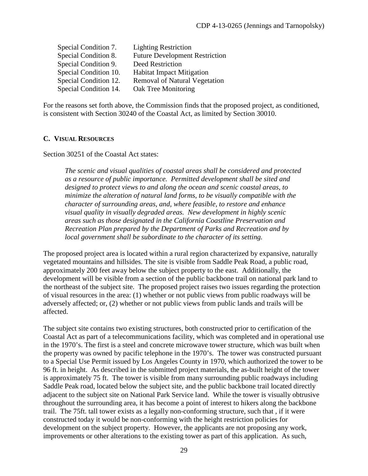| Special Condition 7.  | <b>Lighting Restriction</b>           |
|-----------------------|---------------------------------------|
| Special Condition 8.  | <b>Future Development Restriction</b> |
| Special Condition 9.  | Deed Restriction                      |
| Special Condition 10. | <b>Habitat Impact Mitigation</b>      |
| Special Condition 12. | <b>Removal of Natural Vegetation</b>  |
| Special Condition 14. | Oak Tree Monitoring                   |

For the reasons set forth above, the Commission finds that the proposed project, as conditioned, is consistent with Section 30240 of the Coastal Act, as limited by Section 30010.

#### <span id="page-28-0"></span>**C. VISUAL RESOURCES**

Section 30251 of the Coastal Act states:

*The scenic and visual qualities of coastal areas shall be considered and protected as a resource of public importance. Permitted development shall be sited and designed to protect views to and along the ocean and scenic coastal areas, to minimize the alteration of natural land forms, to be visually compatible with the character of surrounding areas, and, where feasible, to restore and enhance visual quality in visually degraded areas. New development in highly scenic areas such as those designated in the California Coastline Preservation and Recreation Plan prepared by the Department of Parks and Recreation and by local government shall be subordinate to the character of its setting.*

The proposed project area is located within a rural region characterized by expansive, naturally vegetated mountains and hillsides. The site is visible from Saddle Peak Road, a public road, approximately 200 feet away below the subject property to the east. Additionally, the development will be visible from a section of the public backbone trail on national park land to the northeast of the subject site. The proposed project raises two issues regarding the protection of visual resources in the area: (1) whether or not public views from public roadways will be adversely affected; or, (2) whether or not public views from public lands and trails will be affected.

The subject site contains two existing structures, both constructed prior to certification of the Coastal Act as part of a telecommunications facility, which was completed and in operational use in the 1970's. The first is a steel and concrete microwave tower structure, which was built when the property was owned by pacific telephone in the 1970's. The tower was constructed pursuant to a Special Use Permit issued by Los Angeles County in 1970, which authorized the tower to be 96 ft. in height. As described in the submitted project materials, the as-built height of the tower is approximately 75 ft. The tower is visible from many surrounding public roadways including Saddle Peak road, located below the subject site, and the public backbone trail located directly adjacent to the subject site on National Park Service land. While the tower is visually obtrusive throughout the surrounding area, it has become a point of interest to hikers along the backbone trail. The 75ft. tall tower exists as a legally non-conforming structure, such that , if it were constructed today it would be non-conforming with the height restriction policies for development on the subject property. However, the applicants are not proposing any work, improvements or other alterations to the existing tower as part of this application. As such,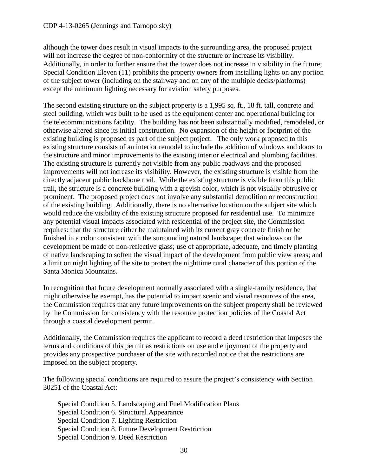although the tower does result in visual impacts to the surrounding area, the proposed project will not increase the degree of non-conformity of the structure or increase its visibility. Additionally, in order to further ensure that the tower does not increase in visibility in the future; Special Condition Eleven (11) prohibits the property owners from installing lights on any portion of the subject tower (including on the stairway and on any of the multiple decks/platforms) except the minimum lighting necessary for aviation safety purposes.

The second existing structure on the subject property is a 1,995 sq. ft., 18 ft. tall, concrete and steel building, which was built to be used as the equipment center and operational building for the telecommunications facility. The building has not been substantially modified, remodeled, or otherwise altered since its initial construction. No expansion of the height or footprint of the existing building is proposed as part of the subject project. The only work proposed to this existing structure consists of an interior remodel to include the addition of windows and doors to the structure and minor improvements to the existing interior electrical and plumbing facilities. The existing structure is currently not visible from any public roadways and the proposed improvements will not increase its visibility. However, the existing structure is visible from the directly adjacent public backbone trail. While the existing structure is visible from this public trail, the structure is a concrete building with a greyish color, which is not visually obtrusive or prominent. The proposed project does not involve any substantial demolition or reconstruction of the existing building. Additionally, there is no alternative location on the subject site which would reduce the visibility of the existing structure proposed for residential use. To minimize any potential visual impacts associated with residential of the project site, the Commission requires: that the structure either be maintained with its current gray concrete finish or be finished in a color consistent with the surrounding natural landscape; that windows on the development be made of non-reflective glass; use of appropriate, adequate, and timely planting of native landscaping to soften the visual impact of the development from public view areas; and a limit on night lighting of the site to protect the nighttime rural character of this portion of the Santa Monica Mountains.

In recognition that future development normally associated with a single-family residence, that might otherwise be exempt, has the potential to impact scenic and visual resources of the area, the Commission requires that any future improvements on the subject property shall be reviewed by the Commission for consistency with the resource protection policies of the Coastal Act through a coastal development permit.

Additionally, the Commission requires the applicant to record a deed restriction that imposes the terms and conditions of this permit as restrictions on use and enjoyment of the property and provides any prospective purchaser of the site with recorded notice that the restrictions are imposed on the subject property.

The following special conditions are required to assure the project's consistency with Section 30251 of the Coastal Act:

Special Condition 5. Landscaping and Fuel Modification Plans Special Condition 6. Structural Appearance Special Condition 7. Lighting Restriction Special Condition 8. Future Development Restriction Special Condition 9. Deed Restriction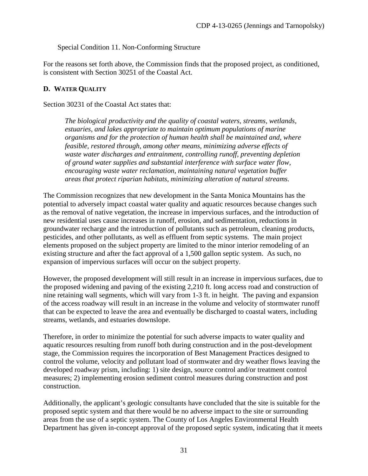Special Condition 11. Non-Conforming Structure

For the reasons set forth above, the Commission finds that the proposed project, as conditioned, is consistent with Section 30251 of the Coastal Act.

#### <span id="page-30-0"></span>**D. WATER QUALITY**

Section 30231 of the Coastal Act states that:

*The biological productivity and the quality of coastal waters, streams, wetlands, estuaries, and lakes appropriate to maintain optimum populations of marine organisms and for the protection of human health shall be maintained and, where feasible, restored through, among other means, minimizing adverse effects of waste water discharges and entrainment, controlling runoff, preventing depletion of ground water supplies and substantial interference with surface water flow, encouraging waste water reclamation, maintaining natural vegetation buffer areas that protect riparian habitats, minimizing alteration of natural streams.*

The Commission recognizes that new development in the Santa Monica Mountains has the potential to adversely impact coastal water quality and aquatic resources because changes such as the removal of native vegetation, the increase in impervious surfaces, and the introduction of new residential uses cause increases in runoff, erosion, and sedimentation, reductions in groundwater recharge and the introduction of pollutants such as petroleum, cleaning products, pesticides, and other pollutants, as well as effluent from septic systems. The main project elements proposed on the subject property are limited to the minor interior remodeling of an existing structure and after the fact approval of a 1,500 gallon septic system. As such, no expansion of impervious surfaces will occur on the subject property.

However, the proposed development will still result in an increase in impervious surfaces, due to the proposed widening and paving of the existing 2,210 ft. long access road and construction of nine retaining wall segments, which will vary from 1-3 ft. in height. The paving and expansion of the access roadway will result in an increase in the volume and velocity of stormwater runoff that can be expected to leave the area and eventually be discharged to coastal waters, including streams, wetlands, and estuaries downslope.

Therefore, in order to minimize the potential for such adverse impacts to water quality and aquatic resources resulting from runoff both during construction and in the post-development stage, the Commission requires the incorporation of Best Management Practices designed to control the volume, velocity and pollutant load of stormwater and dry weather flows leaving the developed roadway prism, including: 1) site design, source control and/or treatment control measures; 2) implementing erosion sediment control measures during construction and post construction.

Additionally, the applicant's geologic consultants have concluded that the site is suitable for the proposed septic system and that there would be no adverse impact to the site or surrounding areas from the use of a septic system. The County of Los Angeles Environmental Health Department has given in-concept approval of the proposed septic system, indicating that it meets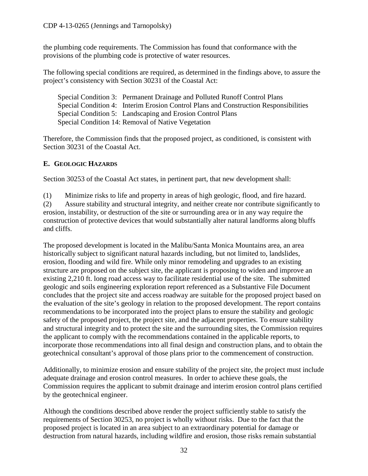the plumbing code requirements. The Commission has found that conformance with the provisions of the plumbing code is protective of water resources.

The following special conditions are required, as determined in the findings above, to assure the project's consistency with Section 30231 of the Coastal Act:

| Special Condition 3: Permanent Drainage and Polluted Runoff Control Plans            |
|--------------------------------------------------------------------------------------|
| Special Condition 4: Interim Erosion Control Plans and Construction Responsibilities |
| Special Condition 5: Landscaping and Erosion Control Plans                           |
| Special Condition 14: Removal of Native Vegetation                                   |

Therefore, the Commission finds that the proposed project, as conditioned, is consistent with Section 30231 of the Coastal Act.

# <span id="page-31-0"></span>**E. GEOLOGIC HAZARDS**

Section 30253 of the Coastal Act states, in pertinent part, that new development shall:

(1) Minimize risks to life and property in areas of high geologic, flood, and fire hazard.

(2) Assure stability and structural integrity, and neither create nor contribute significantly to erosion, instability, or destruction of the site or surrounding area or in any way require the construction of protective devices that would substantially alter natural landforms along bluffs and cliffs.

The proposed development is located in the Malibu/Santa Monica Mountains area, an area historically subject to significant natural hazards including, but not limited to, landslides, erosion, flooding and wild fire. While only minor remodeling and upgrades to an existing structure are proposed on the subject site, the applicant is proposing to widen and improve an existing 2,210 ft. long road access way to facilitate residential use of the site. The submitted geologic and soils engineering exploration report referenced as a Substantive File Document concludes that the project site and access roadway are suitable for the proposed project based on the evaluation of the site's geology in relation to the proposed development. The report contains recommendations to be incorporated into the project plans to ensure the stability and geologic safety of the proposed project, the project site, and the adjacent properties. To ensure stability and structural integrity and to protect the site and the surrounding sites, the Commission requires the applicant to comply with the recommendations contained in the applicable reports, to incorporate those recommendations into all final design and construction plans, and to obtain the geotechnical consultant's approval of those plans prior to the commencement of construction.

Additionally, to minimize erosion and ensure stability of the project site, the project must include adequate drainage and erosion control measures. In order to achieve these goals, the Commission requires the applicant to submit drainage and interim erosion control plans certified by the geotechnical engineer.

Although the conditions described above render the project sufficiently stable to satisfy the requirements of Section 30253, no project is wholly without risks. Due to the fact that the proposed project is located in an area subject to an extraordinary potential for damage or destruction from natural hazards, including wildfire and erosion, those risks remain substantial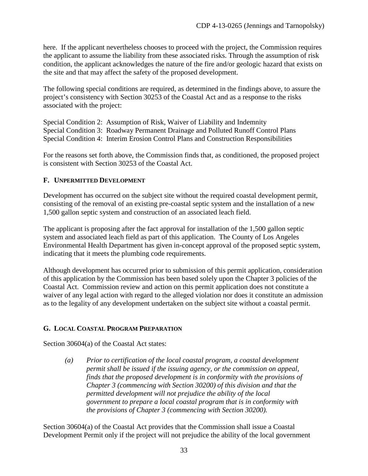here. If the applicant nevertheless chooses to proceed with the project, the Commission requires the applicant to assume the liability from these associated risks. Through the assumption of risk condition, the applicant acknowledges the nature of the fire and/or geologic hazard that exists on the site and that may affect the safety of the proposed development.

The following special conditions are required, as determined in the findings above, to assure the project's consistency with Section 30253 of the Coastal Act and as a response to the risks associated with the project:

Special Condition 2: Assumption of Risk, Waiver of Liability and Indemnity Special Condition 3: Roadway Permanent Drainage and Polluted Runoff Control Plans Special Condition 4: Interim Erosion Control Plans and Construction Responsibilities

For the reasons set forth above, the Commission finds that, as conditioned, the proposed project is consistent with Section 30253 of the Coastal Act.

### <span id="page-32-0"></span>**F. UNPERMITTED DEVELOPMENT**

Development has occurred on the subject site without the required coastal development permit, consisting of the removal of an existing pre-coastal septic system and the installation of a new 1,500 gallon septic system and construction of an associated leach field.

The applicant is proposing after the fact approval for installation of the 1,500 gallon septic system and associated leach field as part of this application. The County of Los Angeles Environmental Health Department has given in-concept approval of the proposed septic system, indicating that it meets the plumbing code requirements.

Although development has occurred prior to submission of this permit application, consideration of this application by the Commission has been based solely upon the Chapter 3 policies of the Coastal Act. Commission review and action on this permit application does not constitute a waiver of any legal action with regard to the alleged violation nor does it constitute an admission as to the legality of any development undertaken on the subject site without a coastal permit.

# <span id="page-32-1"></span>**G. LOCAL COASTAL PROGRAM PREPARATION**

Section 30604(a) of the Coastal Act states:

*(a) Prior to certification of the local coastal program, a coastal development permit shall be issued if the issuing agency, or the commission on appeal, finds that the proposed development is in conformity with the provisions of Chapter 3 (commencing with Section 30200) of this division and that the permitted development will not prejudice the ability of the local government to prepare a local coastal program that is in conformity with the provisions of Chapter 3 (commencing with Section 30200).*

Section 30604(a) of the Coastal Act provides that the Commission shall issue a Coastal Development Permit only if the project will not prejudice the ability of the local government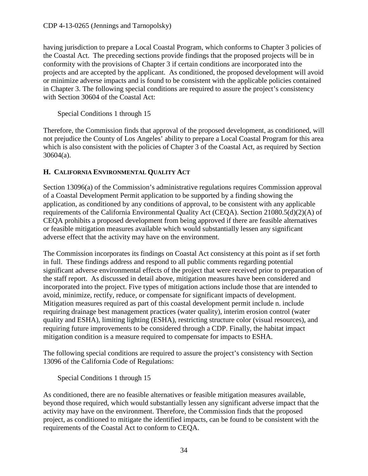having jurisdiction to prepare a Local Coastal Program, which conforms to Chapter 3 policies of the Coastal Act. The preceding sections provide findings that the proposed projects will be in conformity with the provisions of Chapter 3 if certain conditions are incorporated into the projects and are accepted by the applicant. As conditioned, the proposed development will avoid or minimize adverse impacts and is found to be consistent with the applicable policies contained in Chapter 3. The following special conditions are required to assure the project's consistency with Section 30604 of the Coastal Act:

Special Conditions 1 through 15

Therefore, the Commission finds that approval of the proposed development, as conditioned, will not prejudice the County of Los Angeles' ability to prepare a Local Coastal Program for this area which is also consistent with the policies of Chapter 3 of the Coastal Act, as required by Section 30604(a).

# <span id="page-33-0"></span>**H. CALIFORNIA ENVIRONMENTAL QUALITY ACT**

Section 13096(a) of the Commission's administrative regulations requires Commission approval of a Coastal Development Permit application to be supported by a finding showing the application, as conditioned by any conditions of approval, to be consistent with any applicable requirements of the California Environmental Quality Act (CEQA). Section 21080.5(d)(2)(A) of CEQA prohibits a proposed development from being approved if there are feasible alternatives or feasible mitigation measures available which would substantially lessen any significant adverse effect that the activity may have on the environment.

The Commission incorporates its findings on Coastal Act consistency at this point as if set forth in full. These findings address and respond to all public comments regarding potential significant adverse environmental effects of the project that were received prior to preparation of the staff report. As discussed in detail above, mitigation measures have been considered and incorporated into the project. Five types of mitigation actions include those that are intended to avoid, minimize, rectify, reduce, or compensate for significant impacts of development. Mitigation measures required as part of this coastal development permit include n. include requiring drainage best management practices (water quality), interim erosion control (water quality and ESHA), limiting lighting (ESHA), restricting structure color (visual resources), and requiring future improvements to be considered through a CDP. Finally, the habitat impact mitigation condition is a measure required to compensate for impacts to ESHA.

The following special conditions are required to assure the project's consistency with Section 13096 of the California Code of Regulations:

Special Conditions 1 through 15

As conditioned, there are no feasible alternatives or feasible mitigation measures available, beyond those required, which would substantially lessen any significant adverse impact that the activity may have on the environment. Therefore, the Commission finds that the proposed project, as conditioned to mitigate the identified impacts, can be found to be consistent with the requirements of the Coastal Act to conform to CEQA.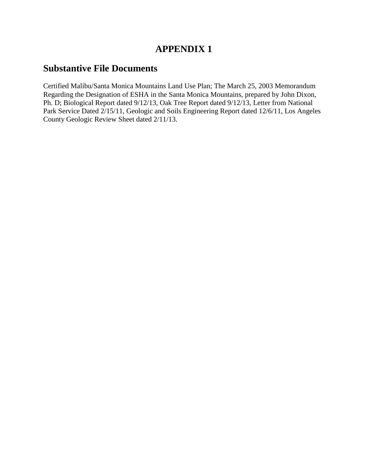# **APPENDIX 1**

# **Substantive File Documents**

Certified Malibu/Santa Monica Mountains Land Use Plan; The March 25, 2003 Memorandum Regarding the Designation of ESHA in the Santa Monica Mountains, prepared by John Dixon, Ph. D; Biological Report dated 9/12/13, Oak Tree Report dated 9/12/13, Letter from National Park Service Dated 2/15/11, Geologic and Soils Engineering Report dated 12/6/11, Los Angeles County Geologic Review Sheet dated 2/11/13.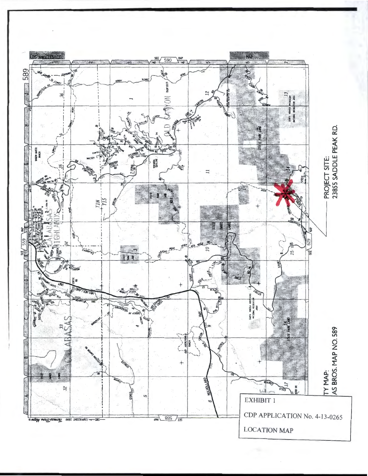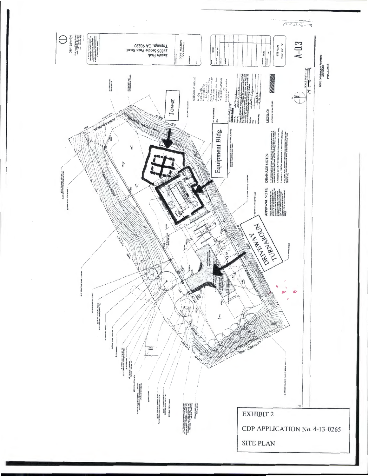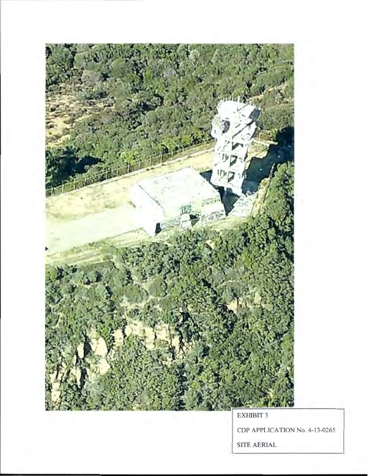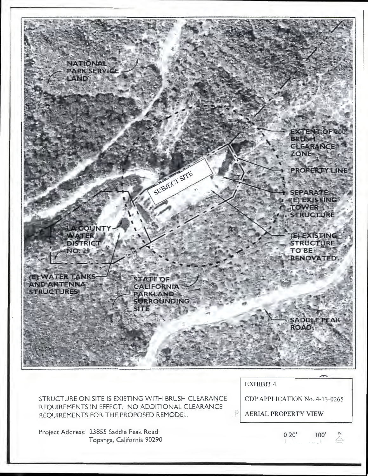

STRUCTURE ON SITE IS EXISTING WITH BRUSH CLEARANCE REQUIREMENTS IN EFFECT. NO ADDITIONAL CLEARANCE REQUIREMENTS FOR THE PROPOSED REMODEL.

CDP APPLICATION No. 4-13-0265

AERIAL PROPERTY VIEW

Project Address: 23855 Saddle Peak Road Topanga, California 90290

0 20' 100' L\_l -----'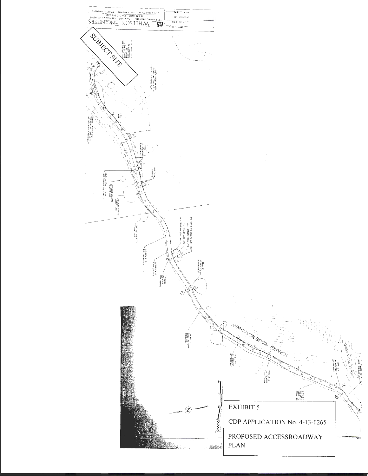